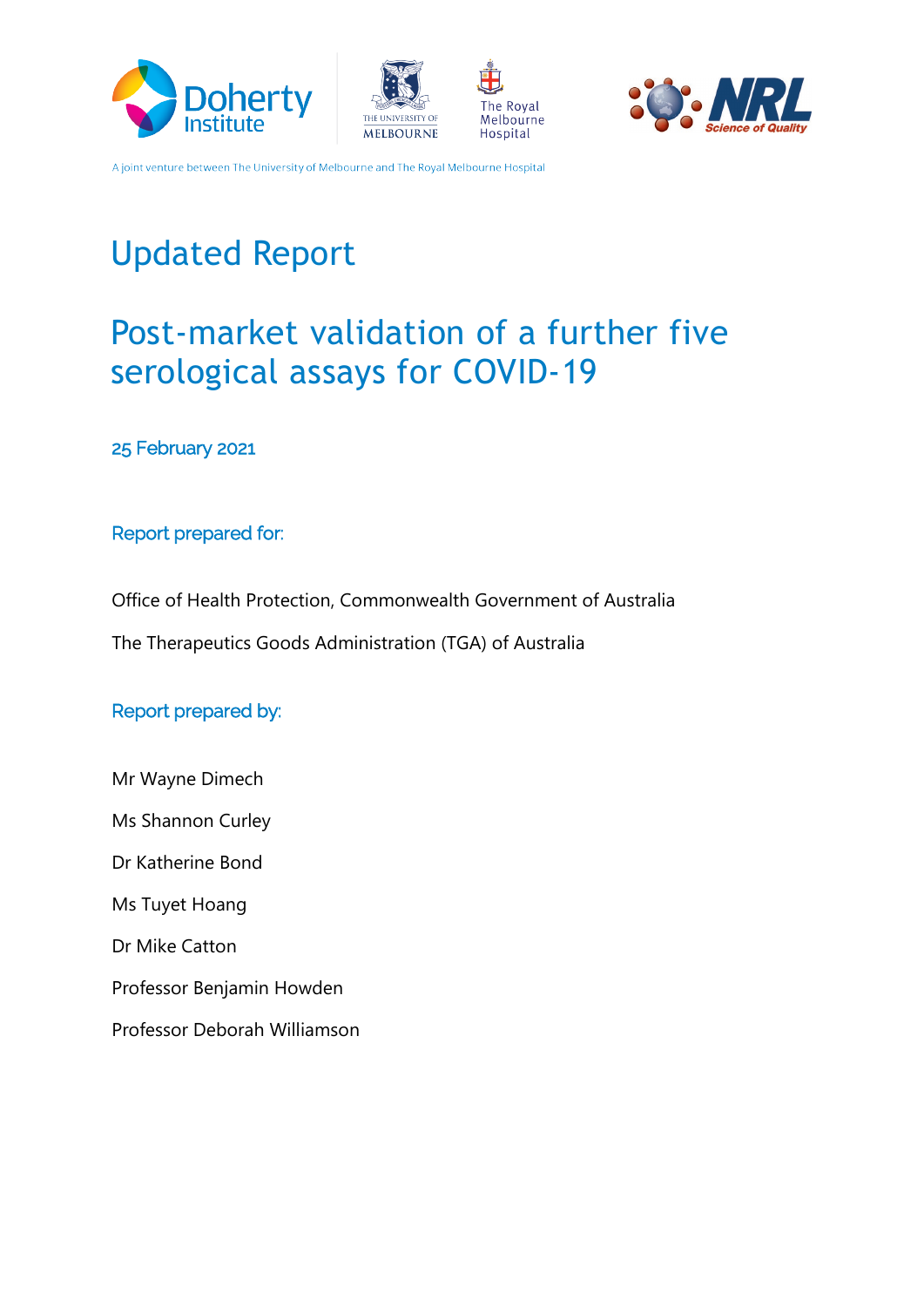







# **Updated Report**

# Post-market validation of a further five serological assays for COVID-19

25 February 2021

#### Report prepared for:

Office of Health Protection, Commonwealth Government of Australia

The Therapeutics Goods Administration (TGA) of Australia

### Report prepared by:

Mr Wayne Dimech Ms Shannon Curley Dr Katherine Bond Ms Tuyet Hoang Dr Mike Catton Professor Benjamin Howden Professor Deborah Williamson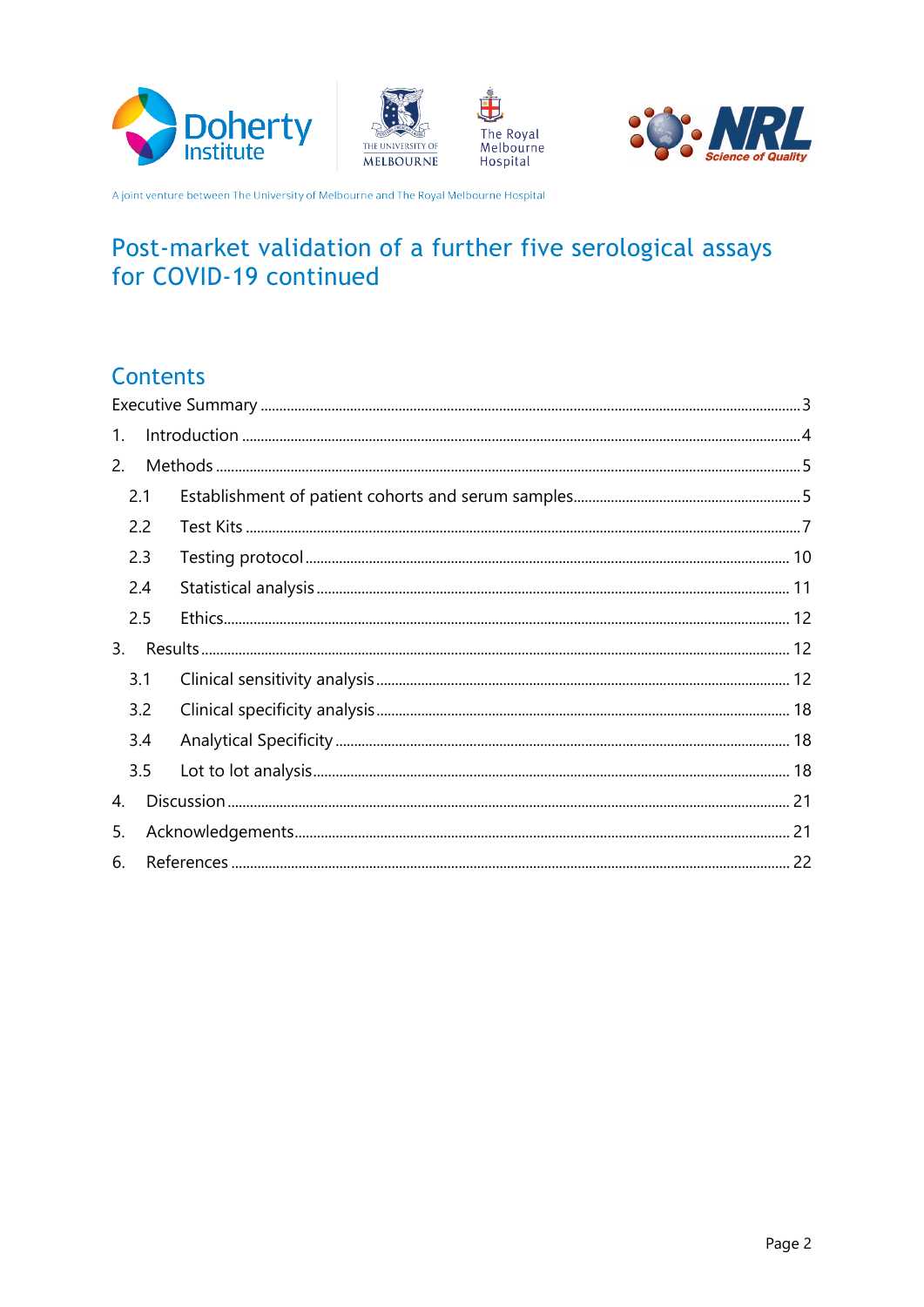







# Post-market validation of a further five serological assays for COVID-19 continued

### **Contents**

| 1.  |     |  |  |  |  |
|-----|-----|--|--|--|--|
| 2.  |     |  |  |  |  |
|     | 2.1 |  |  |  |  |
|     | 2.2 |  |  |  |  |
|     | 2.3 |  |  |  |  |
|     | 2.4 |  |  |  |  |
| 2.5 |     |  |  |  |  |
| 3.  |     |  |  |  |  |
|     | 3.1 |  |  |  |  |
|     | 3.2 |  |  |  |  |
|     | 3.4 |  |  |  |  |
|     | 3.5 |  |  |  |  |
| 4.  |     |  |  |  |  |
| 5.  |     |  |  |  |  |
| 6.  |     |  |  |  |  |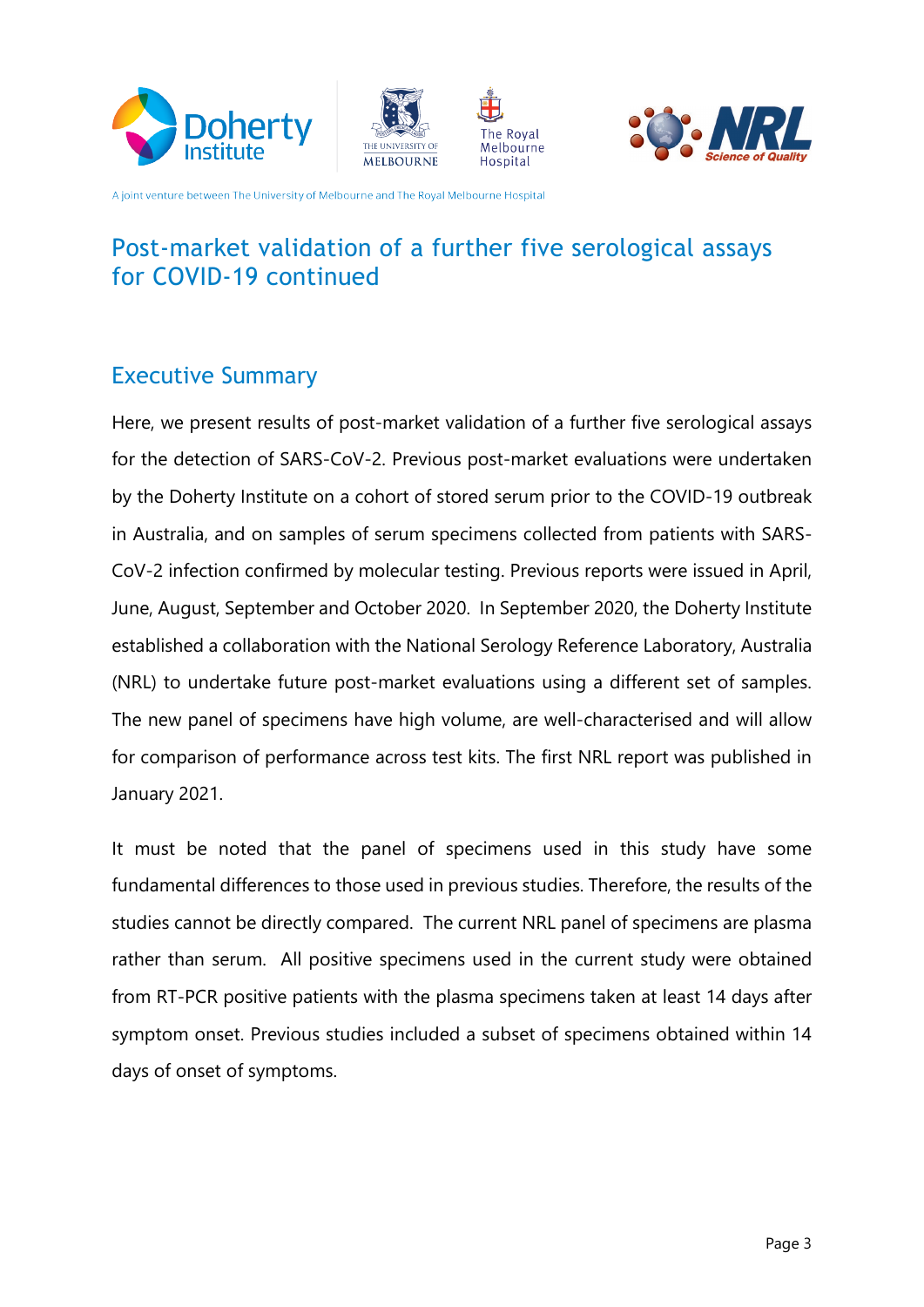







### Post-market validation of a further five serological assays for COVID-19 continued

### <span id="page-2-0"></span>**Executive Summary**

Here, we present results of post-market validation of a further five serological assays for the detection of SARS-CoV-2. Previous post-market evaluations were undertaken by the Doherty Institute on a cohort of stored serum prior to the COVID-19 outbreak CoV-2 infection confirmed by molecular testing. Previous reports were issued in April, in Australia, and on samples of serum specimens collected from patients with SARS-June, August, September and October 2020. In September 2020, the Doherty Institute established a collaboration with the National Serology Reference Laboratory, Australia . (NRL) to undertake future post-market evaluations using a different set of samples. The new panel of specimens have high volume, are well-characterised and will allow for comparison of performance across test kits. The first NRL report was published in 2021. January

It must be noted that the panel of specimens used in this study have some fundamental differences to those used in previous studies. Therefore, the results of the studies cannot be directly compared. The current NRL panel of specimens are plasma rather than serum. All positive specimens used in the current study were obtained from RT-PCR positive patients with the plasma specimens taken at least 14 days after symptom onset. Previous studies included a subset of specimens obtained within 14 days of onset of symptoms.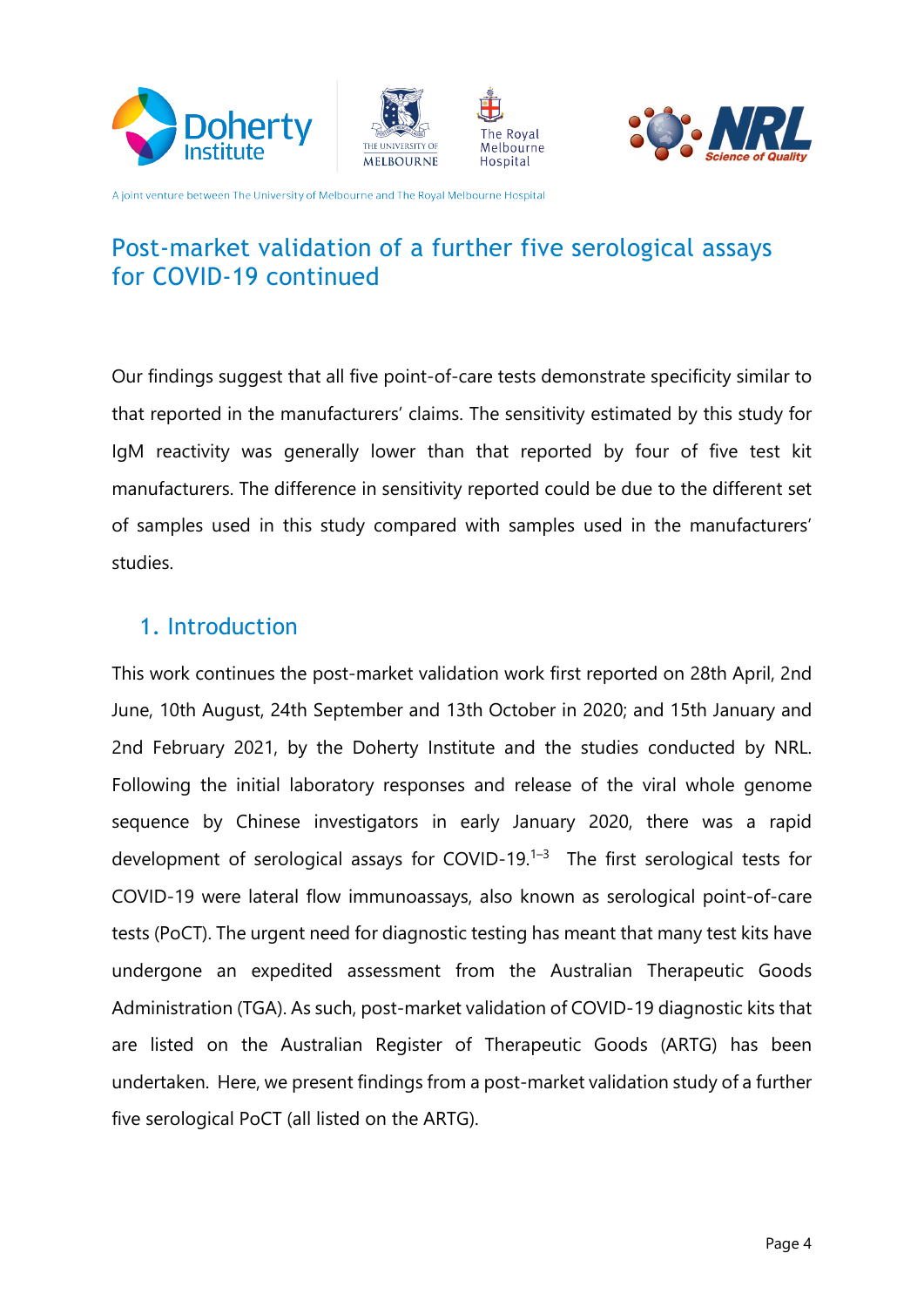







### Post-market validation of a further five serological assays for COVID-19 continued

Our findings suggest that all five point-of-care tests demonstrate specificity similar to that reported in the manufacturers' claims. The sensitivity estimated by this study for kit test five test kit test finally lower than that reported by four of five test kit manufacturers. The difference in sensitivity reported could be due to the different set of samples used in this study compared with samples used in the manufacturers' .studies

### <span id="page-3-0"></span>1. Introduction

This work continues the post-market validation work first reported on 28th April, 2nd June, 10th August, 24th September and 13th October in 2020; and 15th January and 2nd February 2021, by the Doherty Institute and the studies conducted by NRL. Following the initial laboratory responses and release of the viral whole genome sequence by Chinese investigators in early January 2020, there was a rapid development of serological assays for COVID-19. $1-3$  The first serological tests for COVID-19 were lateral flow immunoassays, also known as serological point-of-care tests (PoCT). The urgent need for diagnostic testing has meant that many test kits have undergone an expedited assessment from the Australian Therapeutic Goods Administration (TGA). As such, post-market validation of COVID-19 diagnostic kits that are listed on the Australian Register of Therapeutic Goods (ARTG) has been undertaken. Here, we present findings from a post-market validation study of a further five serological PoCT (all listed on the ARTG).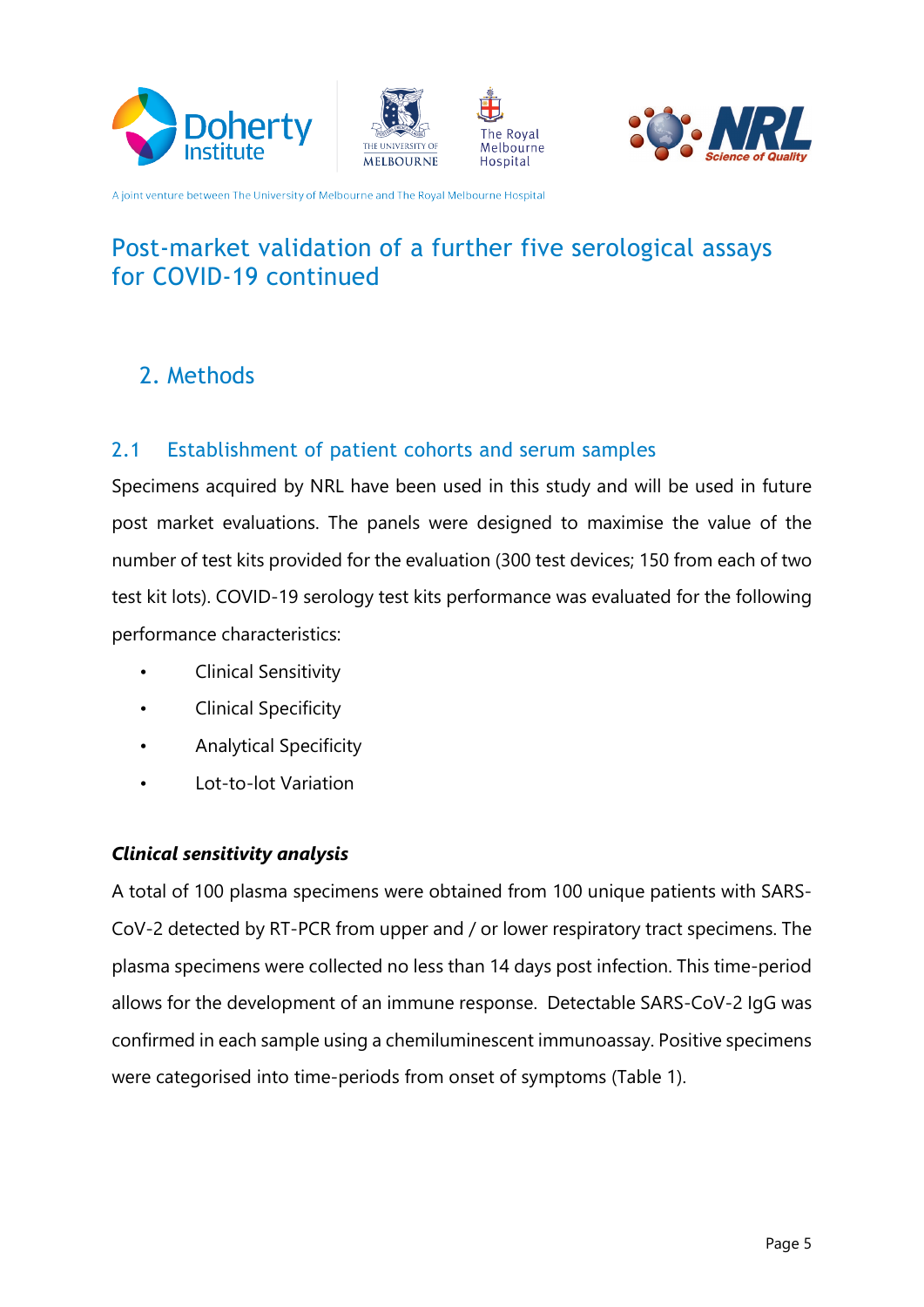







# Post-market validation of a further five serological assays for COVID-19 continued

# <span id="page-4-0"></span>2. Methods

### <span id="page-4-1"></span>2.1 Establishment of patient cohorts and serum samples

Specimens acquired by NRL have been used in this study and will be used in future post market evaluations. The panels were designed to maximise the value of the number of test kits provided for the evaluation (300 test devices; 150 from each of two test kit lots). COVID-19 serology test kits performance was evaluated for the following performance characteristics:

- Clinical Sensitivity
- Clinical Specificity
- Analytical Specificity
- Lot-to-lot Variation

#### **Clinical sensitivity analysis**

CoV-2 detected by RT-PCR from upper and / or lower respiratory tract specimens. The A total of 100 plasma specimens were obtained from 100 unique patients with SARSplasma specimens were collected no less than 14 days post infection. This time-period allows for the development of an immune response. Detectable SARS-CoV-2 IgG was confirmed in each sample using a chemiluminescent immunoassay. Positive specimens were categorised into time-periods from onset of symptoms (Table 1).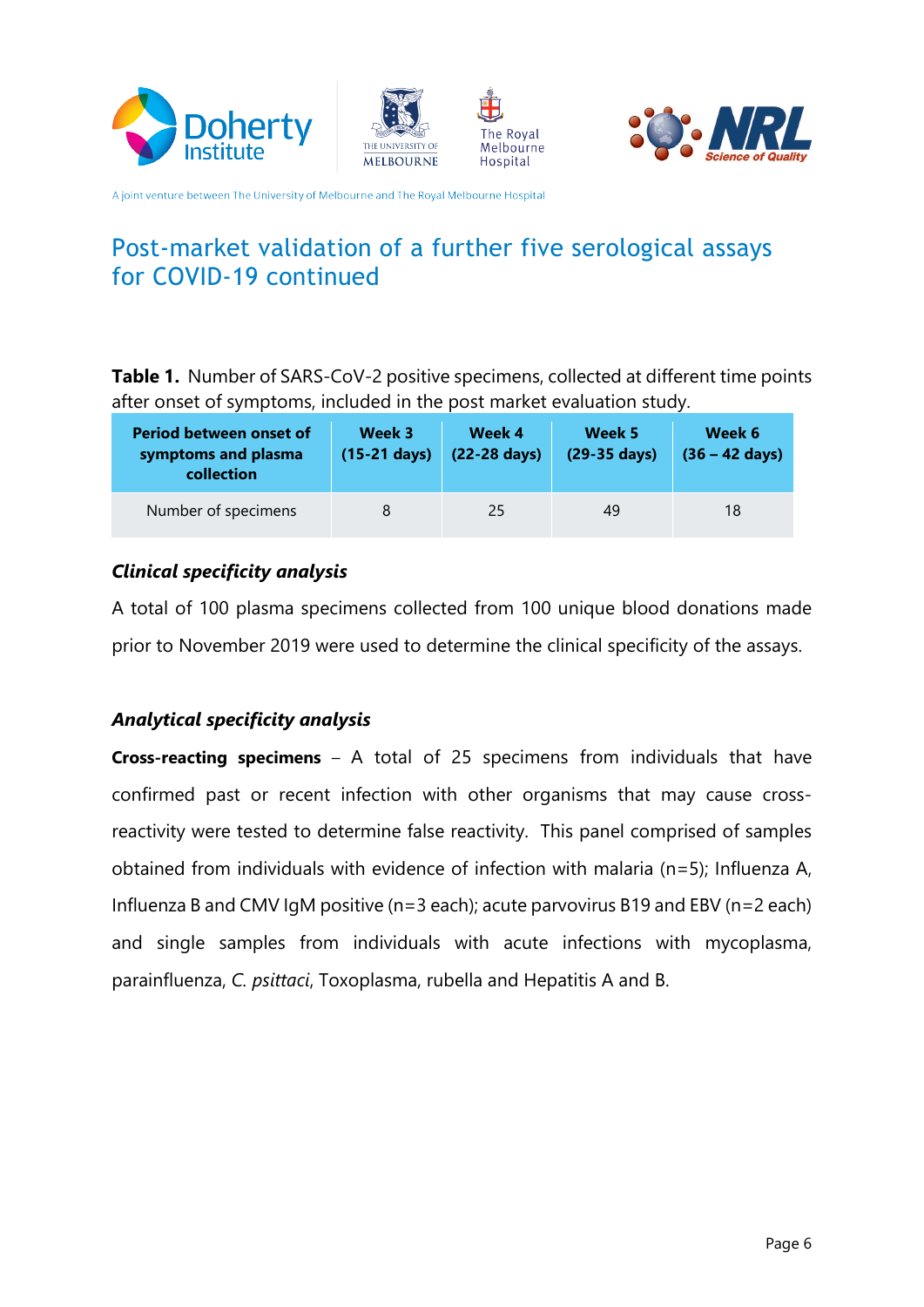







### Post-market validation of a further five serological assays for COVID-19 continued

**Table 1.** Number of SARS-CoV-2 positive specimens, collected at different time points after onset of symptoms, included in the post market evaluation study.

| <b>Period between onset of</b><br>symptoms and plasma<br>collection | Week 3<br>$(15-21$ days) | Week 4<br>(22-28 days) | Week 5<br>(29-35 days) | Week 6<br>$(36 - 42 \text{ days})$ |
|---------------------------------------------------------------------|--------------------------|------------------------|------------------------|------------------------------------|
| Number of specimens                                                 |                          | 25                     | 49                     | 18                                 |

#### *Clinical specificity analysis*

A total of 100 plasma specimens collected from 100 unique blood donations made prior to November 2019 were used to determine the clinical specificity of the assays.

#### *analysis specificity Analytical*

**Cross-reacting specimens** – A total of 25 specimens from individuals that have reactivity were tested to determine false reactivity. This panel comprised of samples confirmed past or recent infection with other organisms that may cause crossobtained from individuals with evidence of infection with malaria ( $n=5$ ); Influenza A, Influenza B and CMV IgM positive ( $n=3$  each); acute parvovirus B19 and EBV ( $n=2$  each) and single samples from individuals with acute infections with mycoplasma, parainfluenza, C. psittaci, Toxoplasma, rubella and Hepatitis A and B.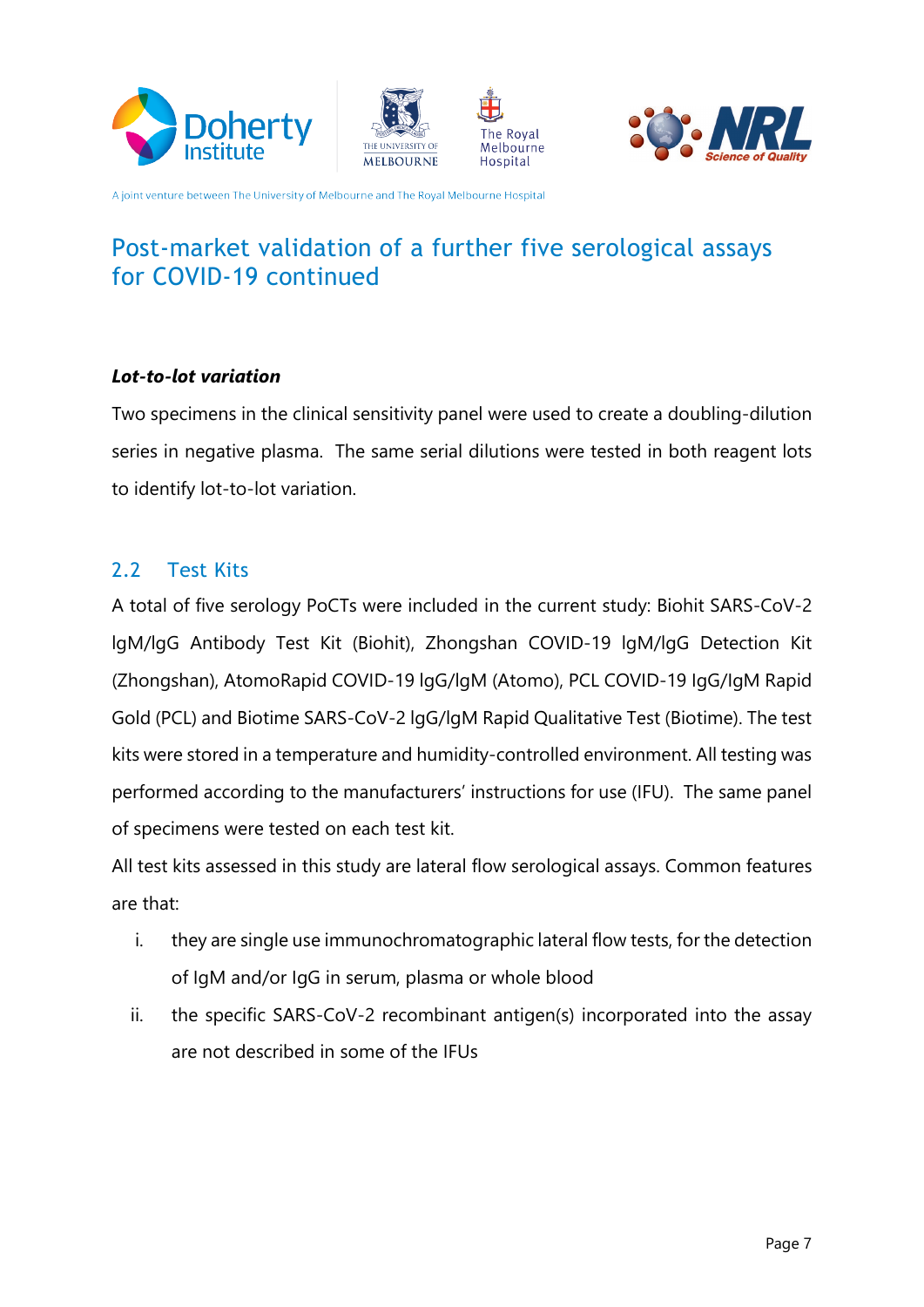







### Post-market validation of a further five serological assays for COVID-19 continued

#### Lot-to-lot variation

Two specimens in the clinical sensitivity panel were used to create a doubling-dilution series in negative plasma. The same serial dilutions were tested in both reagent lots to identify lot-to-lot variation.

#### <span id="page-6-0"></span>2.2 Test Kits

A total of five serology PoCTs were included in the current study: Biohit SARS-CoV-2 IgM/lgG Antibody Test Kit (Biohit), Zhongshan COVID-19 lgM/lgG Detection Kit (Zhongshan), AtomoRapid COVID-19 lgG/lgM (Atomo), PCL COVID-19 lgG/lgM Rapid Gold (PCL) and Biotime SARS-CoV-2 lgG/lgM Rapid Qualitative Test (Biotime). The test kits were stored in a temperature and humidity-controlled environment. All testing was performed according to the manufacturers' instructions for use (IFU). The same panel of specimens were tested on each test kit.

All test kits assessed in this study are lateral flow serological assays. Common features are that:

- i. they are single use immunochromatographic lateral flow tests, for the detection of IgM and/or IgG in serum, plasma or whole blood
- ii. the specific SARS-CoV-2 recombinant antigen(s) incorporated into the assay are not described in some of the IFUs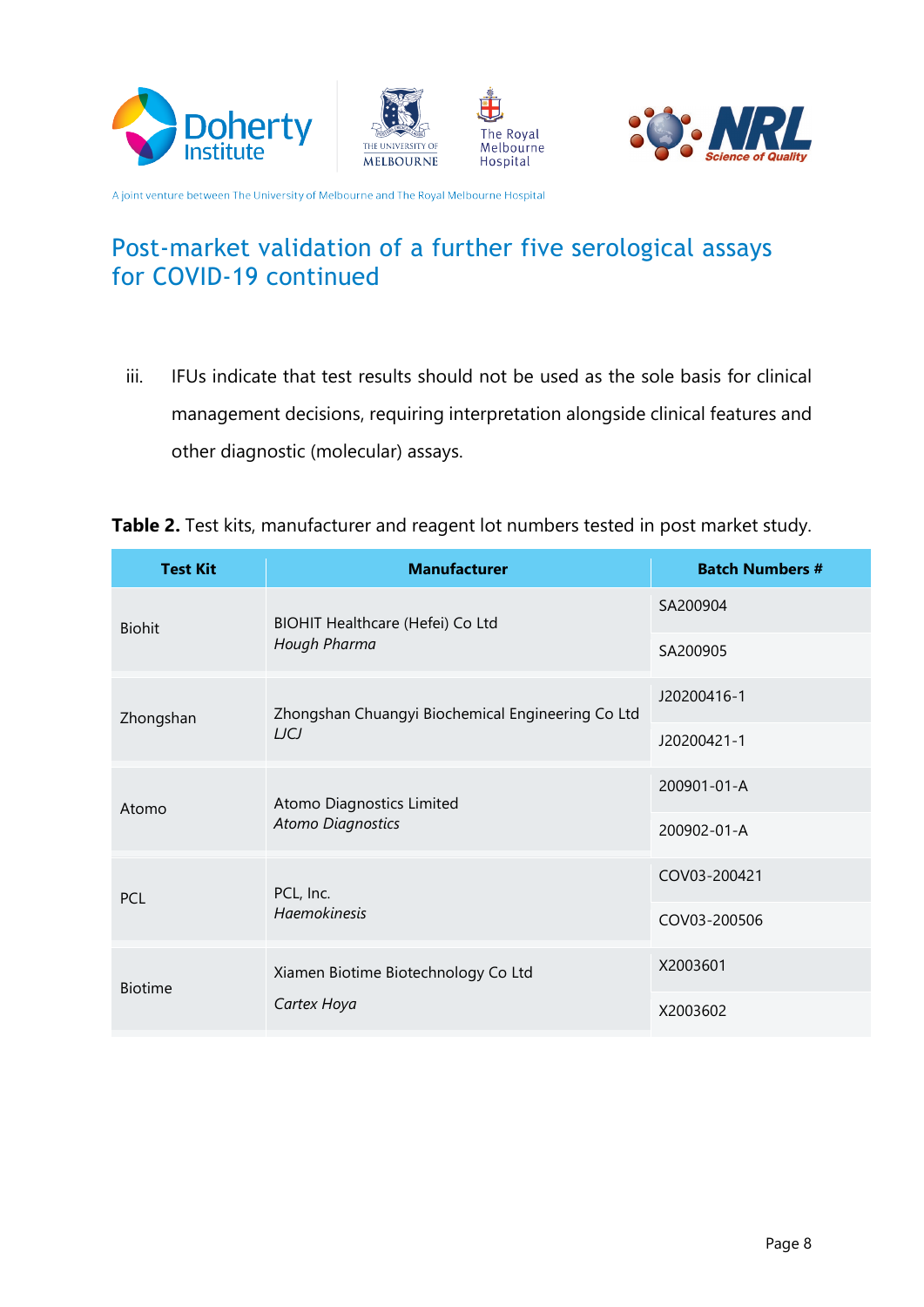







# Post-market validation of a further five serological assays for COVID-19 continued

- iii. IFUs indicate that test results should not be used as the sole basis for clinical management decisions, requiring interpretation alongside clinical features and other diagnostic (molecular) assays.
- Table 2. Test kits, manufacturer and reagent lot numbers tested in post market study.

| <b>Test Kit</b> | <b>Manufacturer</b>                               | <b>Batch Numbers #</b> |
|-----------------|---------------------------------------------------|------------------------|
| <b>Biohit</b>   | BIOHIT Healthcare (Hefei) Co Ltd                  | SA200904               |
|                 | Hough Pharma                                      | SA200905               |
| Zhongshan       | Zhongshan Chuangyi Biochemical Engineering Co Ltd | J20200416-1            |
|                 | <b>LJCJ</b>                                       | J20200421-1            |
| Atomo           | Atomo Diagnostics Limited                         | 200901-01-A            |
|                 | <b>Atomo Diagnostics</b>                          | 200902-01-A            |
| <b>PCL</b>      | PCL, Inc.                                         | COV03-200421           |
|                 | Haemokinesis                                      | COV03-200506           |
| <b>Biotime</b>  | Xiamen Biotime Biotechnology Co Ltd               | X2003601               |
|                 | Cartex Hoya                                       | X2003602               |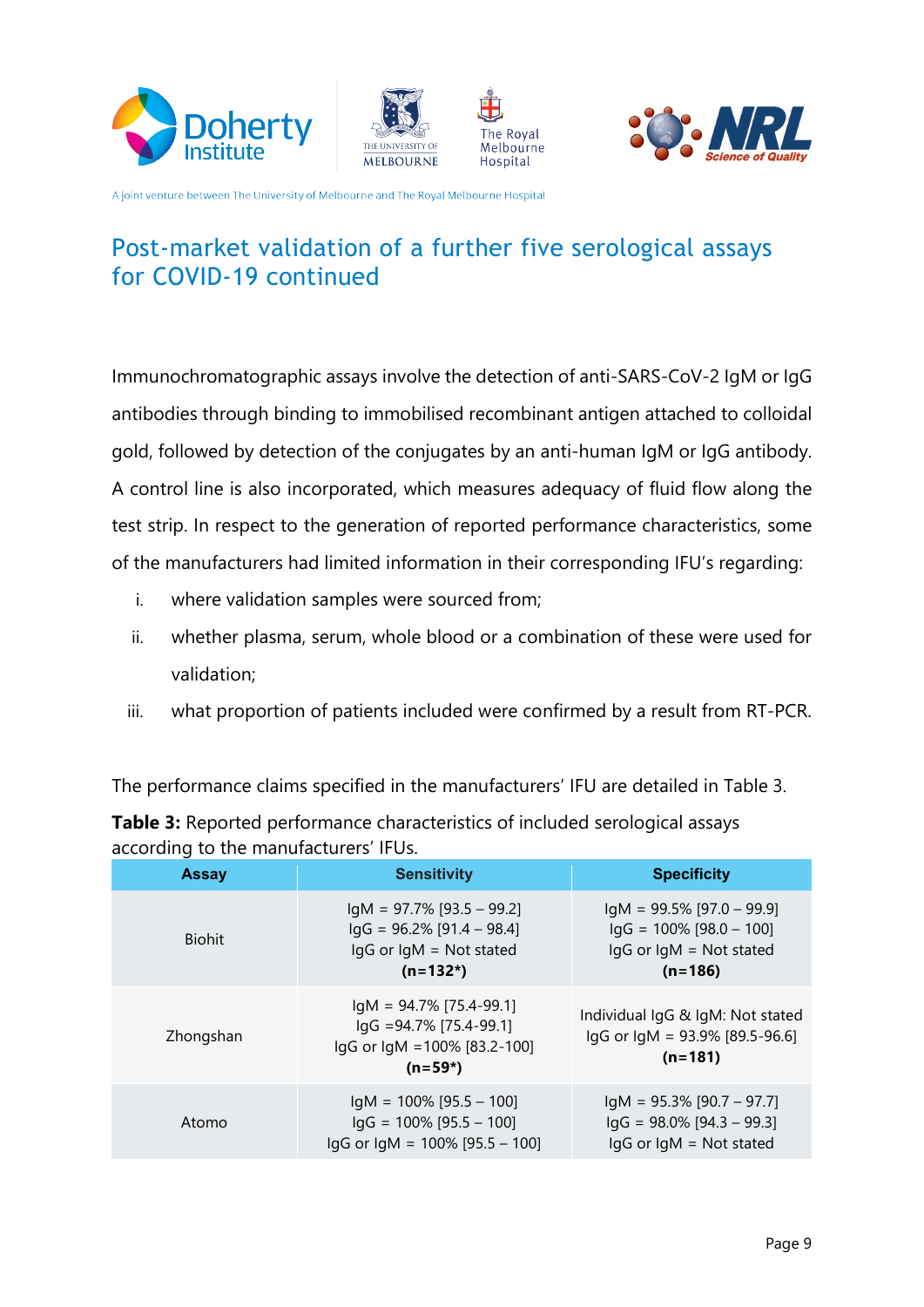







### Post-market validation of a further five serological assays for COVID-19 continued

Immunochromatographic assays involve the detection of anti-SARS-CoV-2 IgM or IgG antibodies through binding to immobilised recombinant antigen attached to colloidal gold, followed by detection of the conjugates by an anti-human IgM or IgG antibody. A control line is also incorporated, which measures adequacy of fluid flow along the test strip. In respect to the generation of reported performance characteristics, some of the manufacturers had limited information in their corresponding IFU's regarding:

- i. where validation samples were sourced from;
- ii. whether plasma, serum, whole blood or a combination of these were used for validation:
- iii. what proportion of patients included were confirmed by a result from RT-PCR.

The performance claims specified in the manufacturers' IFU are detailed in Table 3.

| <b>Assay</b>  | <b>Sensitivity</b>                                                                                         | <b>Specificity</b>                                                                                       |
|---------------|------------------------------------------------------------------------------------------------------------|----------------------------------------------------------------------------------------------------------|
| <b>Biohit</b> | $IqM = 97.7\%$ [93.5 - 99.2]<br>$\lg G$ = 96.2% [91.4 – 98.4]<br>$lgG$ or $lgM = Not$ stated<br>$(n=132*)$ | $IqM = 99.5\%$ [97.0 - 99.9]<br>$\lg G = 100\%$ [98.0 - 100]<br>$lgG$ or $lgM = Not$ stated<br>$(n=186)$ |
| Zhongshan     | $IqM = 94.7\%$ [75.4-99.1]<br>$\lg G$ =94.7% [75.4-99.1]<br>lgG or lgM = 100% [83.2-100]<br>$(n=59*)$      | Individual IqG & IqM: Not stated<br>$lgG$ or $lgM = 93.9\%$ [89.5-96.6]<br>$(n=181)$                     |
| Atomo         | $IqM = 100\%$ [95.5 - 100]<br>$\lg G = 100\%$ [95.5 - 100]<br>$\lg G$ or $\lg M = 100\%$ [95.5 - 100]      | $IqM = 95.3\%$ [90.7 – 97.7]<br>$\lg G$ = 98.0% [94.3 – 99.3]<br>$lgG$ or $lgM = Not$ stated             |

**Table 3:** Reported performance characteristics of included serological assays according to the manufacturers' IELIS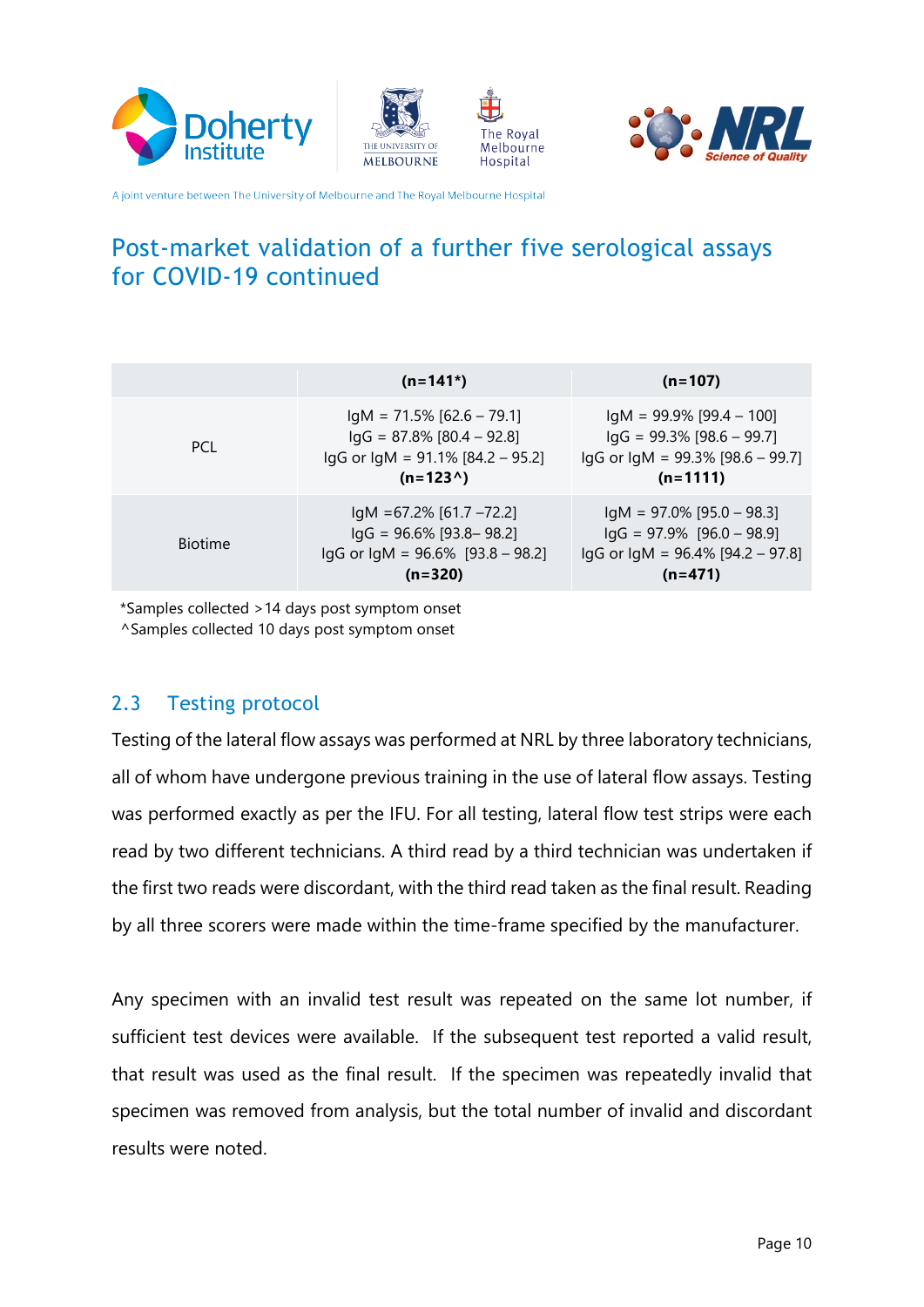







# Post-market validation of a further five serological assays for COVID-19 continued

|                | $(n=141*)$                                                                                                                 | $(n=107)$                                                                                                                |
|----------------|----------------------------------------------------------------------------------------------------------------------------|--------------------------------------------------------------------------------------------------------------------------|
| PCI.           | $IqM = 71.5\% [62.6 - 79.1]$<br>$lgG = 87.8\% [80.4 - 92.8]$<br>$lgG$ or $lgM = 91.1\%$ [84.2 – 95.2]<br>$(n=123^{\circ})$ | $IqM = 99.9\%$ [99.4 - 100]<br>$\lg G$ = 99.3% [98.6 – 99.7]<br>$lgG$ or $lgM = 99.3\%$ [98.6 – 99.7]<br>$(n=1111)$      |
| <b>Biotime</b> | $IgM = 67.2\% [61.7 - 72.2]$<br>$lgG = 96.6\%$ [93.8–98.2]<br>$lgG$ or $lgM = 96.6\%$ [93.8 – 98.2]<br>$(n=320)$           | $IgM = 97.0\%$ [95.0 - 98.3]<br>$\lg G = 97.9\%$ [96.0 - 98.9]<br>$\lg G$ or $\lg M = 96.4\%$ [94.2 – 97.8]<br>$(n=471)$ |

\*Samples collected > 14 days post symptom onset

<span id="page-9-0"></span>^Samples collected 10 days post symptom onset

#### 2.3 Testing protocol

Testing of the lateral flow assays was performed at NRL by three laboratory technicians, all of whom have undergone previous training in the use of lateral flow assays. Testing was performed exactly as per the IFU. For all testing, lateral flow test strips were each read by two different technicians. A third read by a third technician was undertaken if the first two reads were discordant, with the third read taken as the final result. Reading by all three scorers were made within the time-frame specified by the manufacturer.

Any specimen with an invalid test result was repeated on the same lot number, if sufficient test devices were available. If the subsequent test reported a valid result, that result was used as the final result. If the specimen was repeatedly invalid that specimen was removed from analysis, but the total number of invalid and discordant results were noted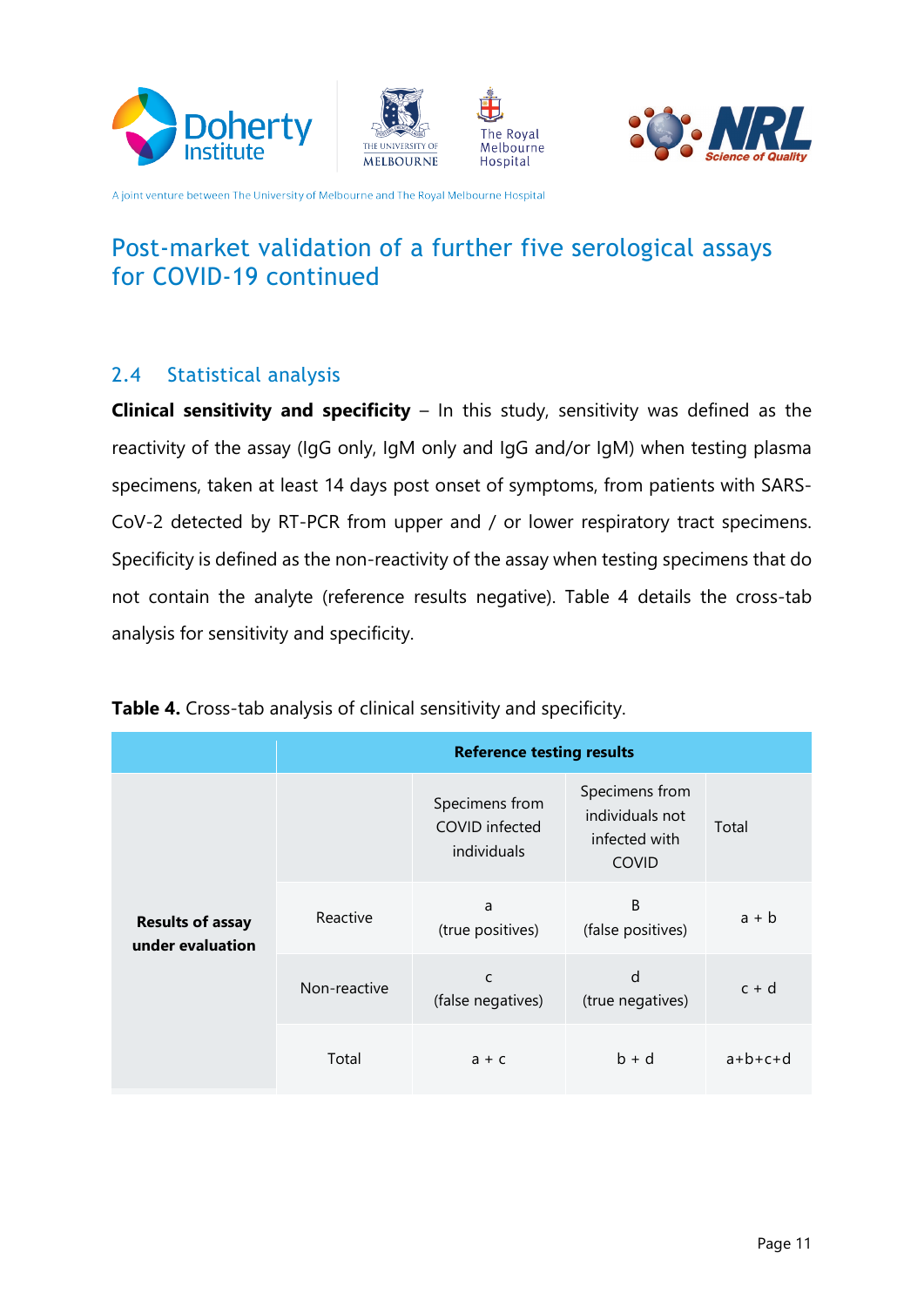







# Post-market validation of a further five serological assays for COVID-19 continued

#### <span id="page-10-0"></span>2.4 Statistical analysis

**Clinical sensitivity and specificity** – In this study, sensitivity was defined as the reactivity of the assay (IgG only, IgM only and IgG and/or IgM) when testing plasma CoV-2 detected by RT-PCR from upper and / or lower respiratory tract specimens. specimens, taken at least 14 days post onset of symptoms, from patients with SARS-Specificity is defined as the non-reactivity of the assay when testing specimens that do not contain the analyte (reference results negative). Table 4 details the cross-tab analysis for sensitivity and specificity.

|                                             | <b>Reference testing results</b> |                                                 |                                                                    |           |  |  |  |
|---------------------------------------------|----------------------------------|-------------------------------------------------|--------------------------------------------------------------------|-----------|--|--|--|
|                                             |                                  | Specimens from<br>COVID infected<br>individuals | Specimens from<br>individuals not<br>infected with<br><b>COVID</b> | Total     |  |  |  |
| <b>Results of assay</b><br>under evaluation | Reactive                         | a<br>(true positives)                           | B<br>(false positives)                                             | $a + b$   |  |  |  |
|                                             | Non-reactive                     | C<br>(false negatives)                          | d<br>(true negatives)                                              | $c + d$   |  |  |  |
|                                             | Total                            | $a + c$                                         | $b + d$                                                            | $a+b+c+d$ |  |  |  |

Table 4. Cross-tab analysis of clinical sensitivity and specificity.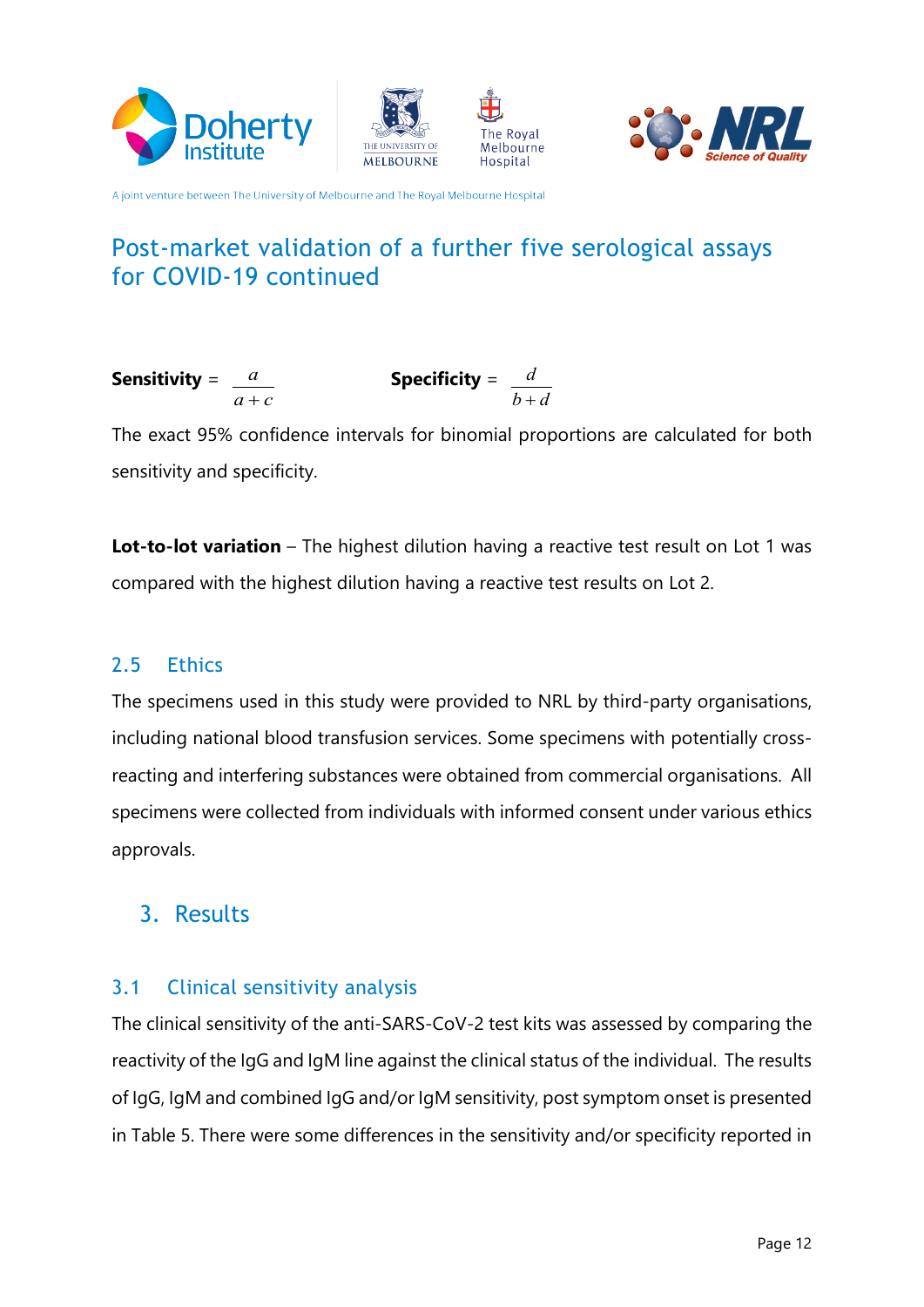







### Post-market validation of a further five serological assays for COVID-19 continued

**Sensitivity** = 
$$
\frac{a}{a+c}
$$
 **Specificity** =  $\frac{d}{b+d}$ 

The exact 95% confidence intervals for binomial proportions are calculated for both sensitivity and specificity.

**Lot-to-lot variation** – The highest dilution having a reactive test result on Lot 1 was compared with the highest dilution having a reactive test results on Lot 2.

#### <span id="page-11-0"></span>2.5 Ethics

The specimens used in this study were provided to NRL by third-party organisations, reacting and interfering substances were obtained from commercial organisations. All including national blood transfusion services. Some specimens with potentially crossspecimens were collected from individuals with informed consent under various ethics .approvals

### <span id="page-11-1"></span>Results 3.

#### <span id="page-11-2"></span>3.1 Clinical sensitivity analysis

The clinical sensitivity of the anti-SARS-CoV-2 test kits was assessed by comparing the reactivity of the IgG and IgM line against the clinical status of the individual. The results of IgG, IgM and combined IgG and/or IgM sensitivity, post symptom onset is presented in Table 5. There were some differences in the sensitivity and/or specificity reported in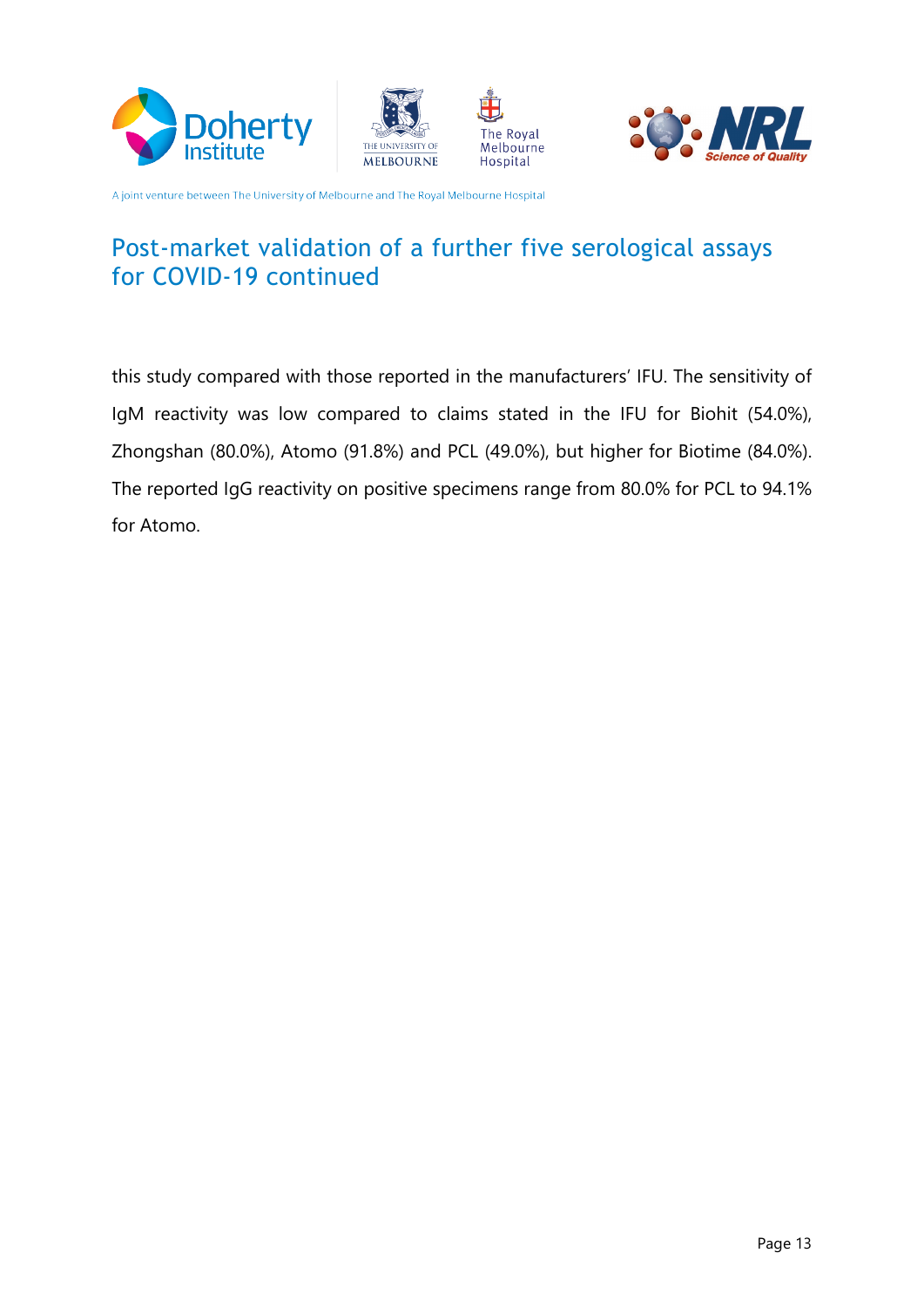







### Post-market validation of a further five serological assays for COVID-19 continued

this study compared with those reported in the manufacturers' IFU. The sensitivity of IqM reactivity was low compared to claims stated in the IFU for Biohit (54.0%), Zhongshan (80.0%), Atomo (91.8%) and PCL (49.0%), but higher for Biotime (84.0%). The reported IgG reactivity on positive specimens range from 80.0% for PCL to 94.1% for Atomo.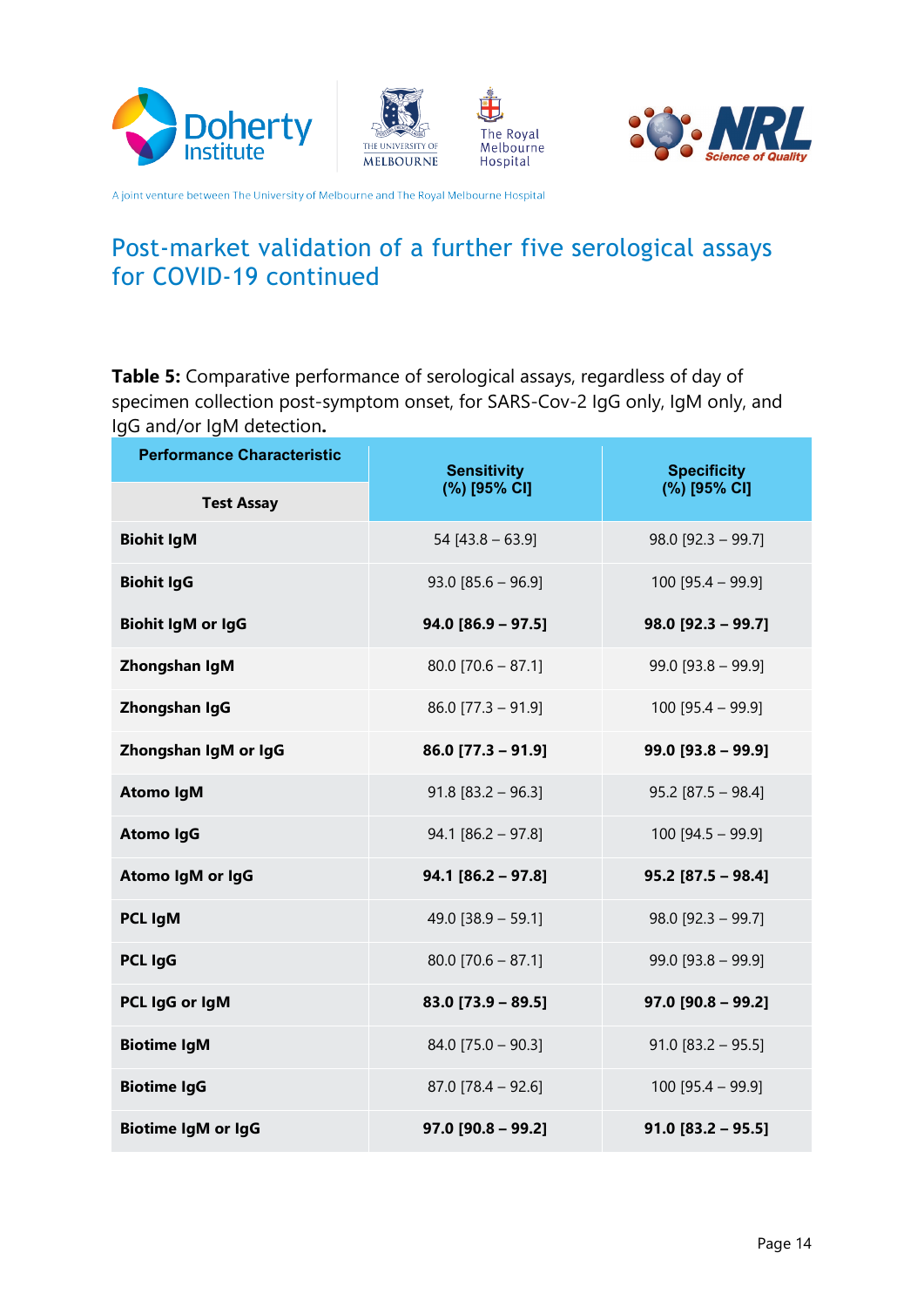







### Post-market validation of a further five serological assays for COVID-19 continued

Table 5: Comparative performance of serological assays, regardless of day of specimen collection post-symptom onset, for SARS-Cov-2 IgG only, IgM only, and IgG and/or IgM detection.

| <b>Performance Characteristic</b> | <b>Sensitivity</b>   | <b>Specificity</b>   |  |
|-----------------------------------|----------------------|----------------------|--|
| <b>Test Assay</b>                 | (%) [95% CI]         | (%) [95% CI]         |  |
| <b>Biohit IgM</b>                 | 54 [43.8 - 63.9]     | $98.0$ [92.3 - 99.7] |  |
| <b>Biohit IgG</b>                 | $93.0$ [85.6 - 96.9] | $100$ [95.4 - 99.9]  |  |
| <b>Biohit IgM or IgG</b>          | $94.0 [86.9 - 97.5]$ | $98.0$ [92.3 - 99.7] |  |
| Zhongshan IgM                     | $80.0$ [70.6 - 87.1] | $99.0$ [93.8 - 99.9] |  |
| Zhongshan IgG                     | $86.0$ [77.3 - 91.9] | $100$ [95.4 - 99.9]  |  |
| Zhongshan IgM or IgG              | $86.0$ [77.3 - 91.9] | $99.0$ [93.8 - 99.9] |  |
| <b>Atomo IgM</b>                  | $91.8$ [83.2 - 96.3] | $95.2$ [87.5 - 98.4] |  |
| <b>Atomo IgG</b>                  | $94.1 [86.2 - 97.8]$ | $100$ [94.5 - 99.9]  |  |
| Atomo IgM or IgG                  | $94.1$ [86.2 - 97.8] | $95.2$ [87.5 - 98.4] |  |
| <b>PCL IgM</b>                    | 49.0 $[38.9 - 59.1]$ | $98.0$ [92.3 - 99.7] |  |
| PCL IgG                           | $80.0$ [70.6 - 87.1] | $99.0$ [93.8 - 99.9] |  |
| PCL IgG or IgM                    | $83.0$ [73.9 - 89.5] | $97.0$ [90.8 - 99.2] |  |
| <b>Biotime IgM</b>                | $84.0$ [75.0 - 90.3] | $91.0$ [83.2 - 95.5] |  |
| <b>Biotime IgG</b>                | $87.0$ [78.4 - 92.6] | $100$ [95.4 - 99.9]  |  |
| <b>Biotime IgM or IgG</b>         | $97.0$ [90.8 - 99.2] | $91.0$ [83.2 - 95.5] |  |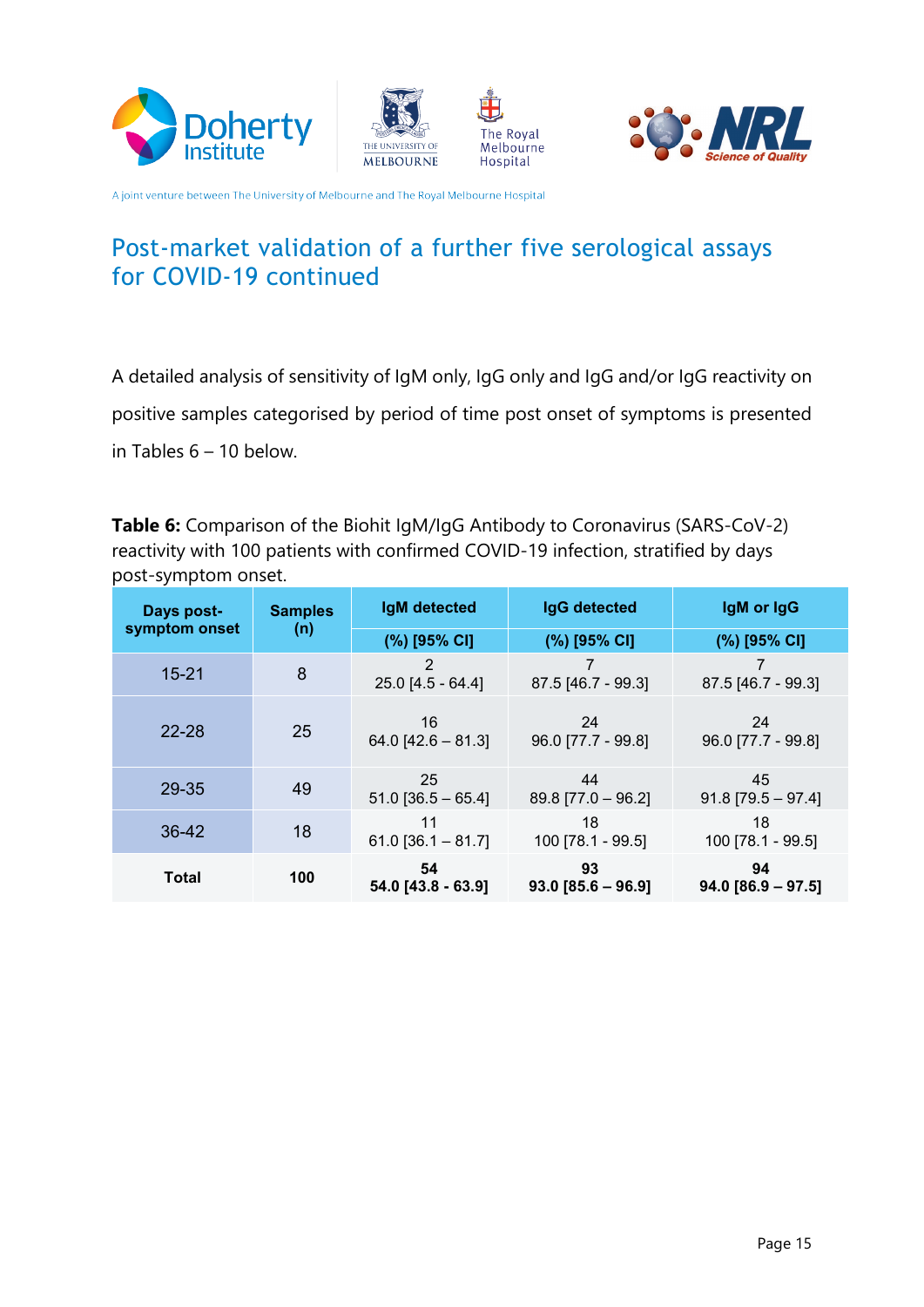





![](_page_14_Picture_3.jpeg)

## Post-market validation of a further five serological assays for COVID-19 continued

A detailed analysis of sensitivity of IgM only, IgG only and IgG and/or IgG reactivity on positive samples categorised by period of time post onset of symptoms is presented in Tables  $6 - 10$  below.

**Table 6:** Comparison of the Biohit IgM/IgG Antibody to Coronavirus (SARS-CoV-2) reactivity with 100 patients with confirmed COVID-19 infection, stratified by days post-symptom onset.

| Days post-    | <b>Samples</b> | <b>IgM</b> detected        | <b>IgG</b> detected        | IgM or IgG                 |
|---------------|----------------|----------------------------|----------------------------|----------------------------|
| symptom onset | (n)            | (%) [95% CI]               | (%) [95% CI]               | (%) [95% CI]               |
| $15 - 21$     | 8              | 2<br>$25.0$ [4.5 - 64.4]   | 87.5 [46.7 - 99.3]         | 87.5 [46.7 - 99.3]         |
| 22-28         | 25             | 16<br>$64.0$ [42.6 - 81.3] | 24<br>96.0 [77.7 - 99.8]   | 24<br>96.0 [77.7 - 99.8]   |
| 29-35         | 49             | 25<br>$51.0$ [36.5 - 65.4] | 44<br>$89.8$ [77.0 - 96.2] | 45<br>$91.8$ [79.5 - 97.4] |
| 36-42         | 18             | 11<br>$61.0$ [36.1 - 81.7] | 18<br>100 [78.1 - 99.5]    | 18<br>100 [78.1 - 99.5]    |
| <b>Total</b>  | 100            | 54<br>54.0 [43.8 - 63.9]   | 93<br>$93.0 [85.6 - 96.9]$ | 94<br>$94.0 [86.9 - 97.5]$ |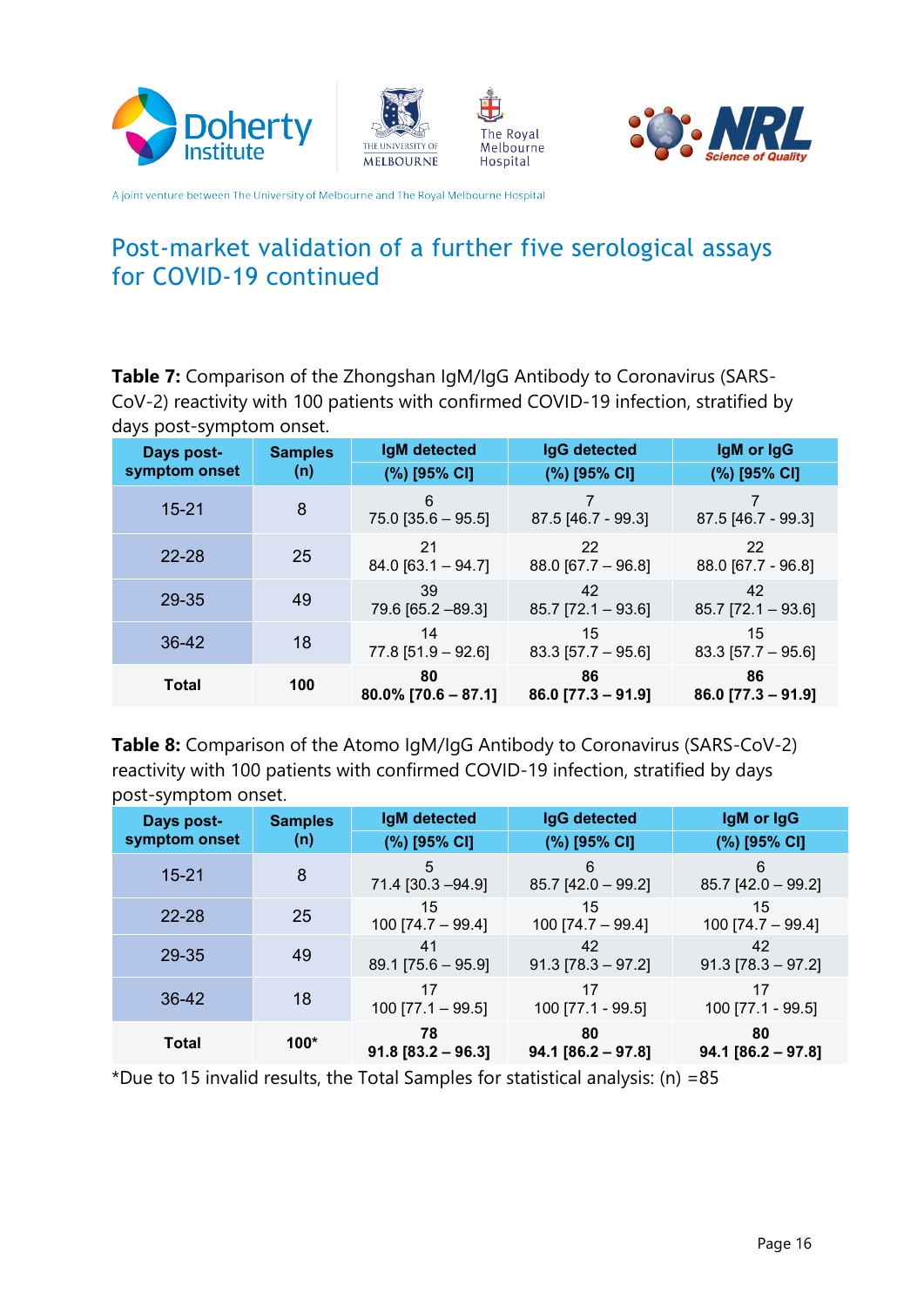![](_page_15_Picture_0.jpeg)

![](_page_15_Picture_1.jpeg)

![](_page_15_Picture_2.jpeg)

![](_page_15_Picture_3.jpeg)

### Post-market validation of a further five serological assays for COVID-19 continued

CoV-2) reactivity with 100 patients with confirmed COVID-19 infection, stratified by Table 7: Comparison of the Zhongshan IgM/IgG Antibody to Coronavirus (SARSdays post-symptom onset.

| <b>Days post-</b> | <b>Samples</b> | <b>IgM</b> detected          | <b>IgG detected</b>        | IgM or IgG                 |
|-------------------|----------------|------------------------------|----------------------------|----------------------------|
| symptom onset     | (n)            | (%) [95% CI]                 | (%) [95% CI]               | (%) [95% CI]               |
| $15 - 21$         | 8              | 6<br>$75.0$ [35.6 - 95.5]    | 87.5 [46.7 - 99.3]         | 87.5 [46.7 - 99.3]         |
| $22 - 28$         | 25             | 21<br>$84.0$ [63.1 - 94.7]   | 22<br>$88.0$ [67.7 - 96.8] | 22<br>88.0 [67.7 - 96.8]   |
| 29-35             | 49             | 39<br>79.6 [65.2 -89.3]      | 42<br>$85.7$ [72.1 - 93.6] | 42<br>$85.7$ [72.1 - 93.6] |
| 36-42             | 18             | 14<br>$77.8$ [51.9 - 92.6]   | 15<br>$83.3$ [57.7 – 95.6] | 15<br>$83.3$ [57.7 - 95.6] |
| <b>Total</b>      | 100            | 80<br>$80.0\%$ [70.6 – 87.1] | 86<br>$86.0$ [77.3 – 91.9] | 86<br>$86.0$ [77.3 – 91.9] |

Table 8: Comparison of the Atomo IgM/IgG Antibody to Coronavirus (SARS-CoV-2) reactivity with 100 patients with confirmed COVID-19 infection, stratified by days post-symptom onset.

| Days post-    | <b>Samples</b> | <b>IgM</b> detected        | <b>IgG detected</b>        | IgM or IgG                 |
|---------------|----------------|----------------------------|----------------------------|----------------------------|
| symptom onset | (n)            | (%) [95% CI]               | (%) [95% CI]               | (%) [95% CI]               |
| $15 - 21$     | 8              | 5<br>71.4 [30.3 - 94.9]    | 6<br>$85.7$ [42.0 - 99.2]  | 6<br>$85.7$ [42.0 - 99.2]  |
| $22 - 28$     | 25             | 15<br>100 [74.7 - 99.4]    | 15<br>100 [74.7 - 99.4]    | 15<br>100 [74.7 - 99.4]    |
| 29-35         | 49             | 41<br>$89.1$ [75.6 - 95.9] | 42<br>$91.3$ [78.3 – 97.2] | 42<br>$91.3$ [78.3 - 97.2] |
| 36-42         | 18             | 17<br>$100$ [77.1 - 99.5]  | 17<br>100 [77.1 - 99.5]    | 17<br>100 [77.1 - 99.5]    |
| <b>Total</b>  | $100*$         | 78<br>$91.8 [83.2 - 96.3]$ | 80<br>$94.1 [86.2 - 97.8]$ | 80<br>$94.1 [86.2 - 97.8]$ |

\*Due to 15 invalid results, the Total Samples for statistical analysis: (n) = 85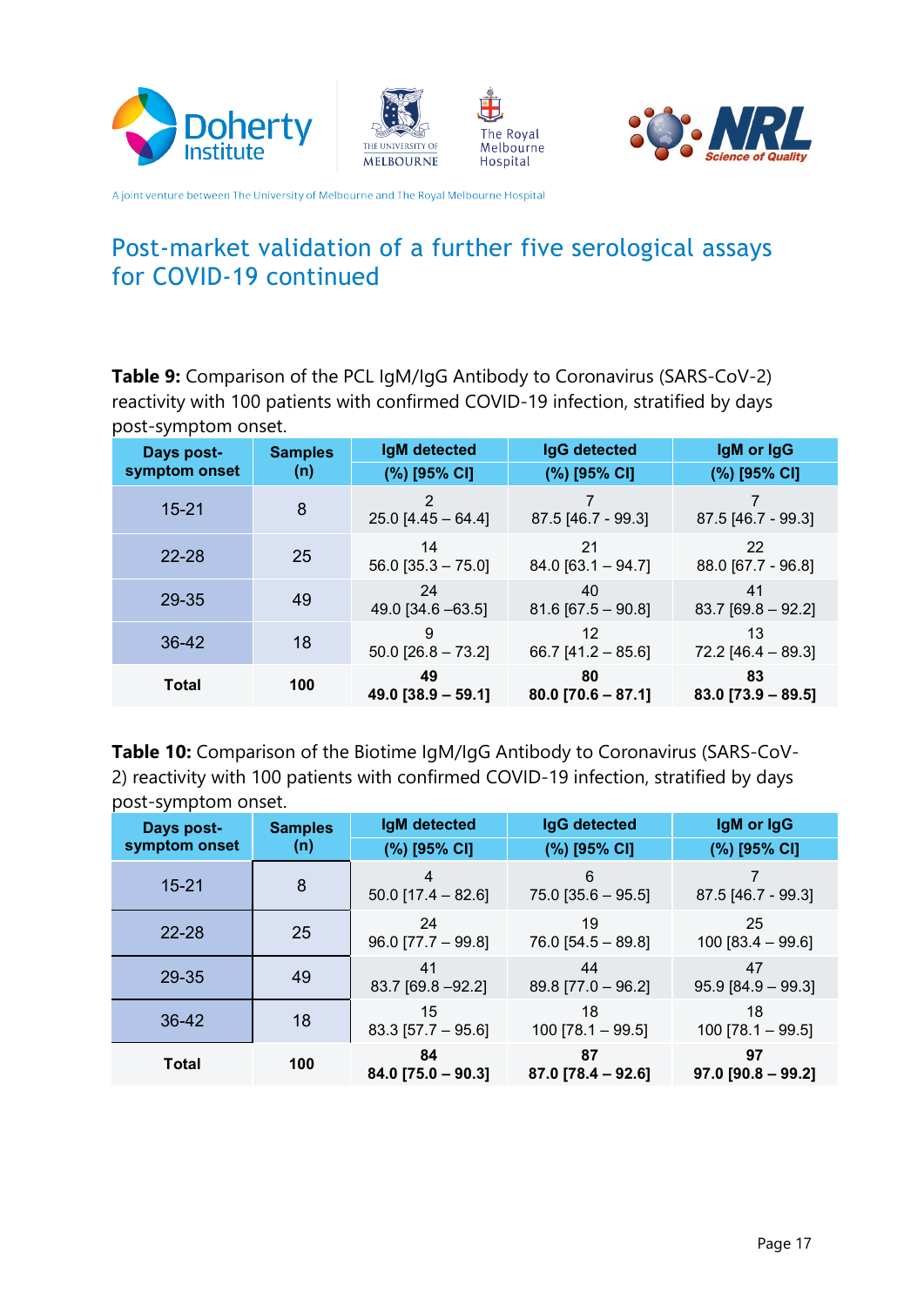![](_page_16_Picture_0.jpeg)

![](_page_16_Picture_1.jpeg)

![](_page_16_Picture_2.jpeg)

![](_page_16_Picture_3.jpeg)

### Post-market validation of a further five serological assays for COVID-19 continued

Table 9: Comparison of the PCL IgM/IgG Antibody to Coronavirus (SARS-CoV-2) reactivity with 100 patients with confirmed COVID-19 infection, stratified by days post-symptom onset.

| <b>Days post-</b> | <b>Samples</b> | <b>IgM</b> detected        | <b>IgG detected</b>        | IgM or IgG                 |
|-------------------|----------------|----------------------------|----------------------------|----------------------------|
| symptom onset     | (n)            | (%) [95% CI]               | (%) [95% CI]               | (%) [95% CI]               |
| $15 - 21$         | 8              | 2<br>$25.0$ [4.45 - 64.4]  | 87.5 [46.7 - 99.3]         | 87.5 [46.7 - 99.3]         |
| $22 - 28$         | 25             | 14<br>$56.0$ [35.3 - 75.0] | 21<br>$84.0$ [63.1 - 94.7] | 22<br>88.0 [67.7 - 96.8]   |
| 29-35             | 49             | 24<br>49.0 [34.6 - 63.5]   | 40<br>$81.6$ [67.5 - 90.8] | 41<br>$83.7$ [69.8 - 92.2] |
| $36 - 42$         | 18             | 9<br>$50.0$ [26.8 - 73.2]  | 12<br>$66.7$ [41.2 - 85.6] | 13<br>$72.2$ [46.4 - 89.3] |
| <b>Total</b>      | 100            | 49<br>$49.0$ [38.9 - 59.1] | 80<br>$80.0$ [70.6 – 87.1] | 83<br>$83.0$ [73.9 - 89.5] |

**Table 10:** Comparison of the Biotime IgM/IgG Antibody to Coronavirus (SARS-CoV-<br>2) reactivity with 100 patients with confirmed COVID-19 infection, stratified by days post-symptom onset.

| . .<br>Days post-<br>symptom onset | <b>Samples</b><br>(n) | <b>IgM</b> detected<br>(%) [95% CI] | IgG detected<br>(%) [95% CI] | IgM or IgG<br>(%) [95% CI] |
|------------------------------------|-----------------------|-------------------------------------|------------------------------|----------------------------|
| $15 - 21$                          | 8                     | 4<br>$50.0$ [17.4 - 82.6]           | 6<br>$75.0$ [35.6 - 95.5]    | 87.5 [46.7 - 99.3]         |
| $22 - 28$                          | 25                    | 24<br>$96.0$ [77.7 - 99.8]          | 19<br>$76.0$ [54.5 - 89.8]   | 25<br>$100 [83.4 - 99.6]$  |
| 29-35                              | 49                    | 41<br>83.7 [69.8 - 92.2]            | 44<br>$89.8$ [77.0 - 96.2]   | 47<br>$95.9$ [84.9 - 99.3] |
| 36-42                              | 18                    | 15<br>$83.3$ [57.7 - 95.6]          | 18<br>$100$ [78.1 - 99.5]    | 18<br>$100$ [78.1 - 99.5]  |
| Total                              | 100                   | 84<br>$84.0$ [75.0 - 90.3]          | 87<br>$87.0$ [78.4 - 92.6]   | 97<br>$97.0$ [90.8 - 99.2] |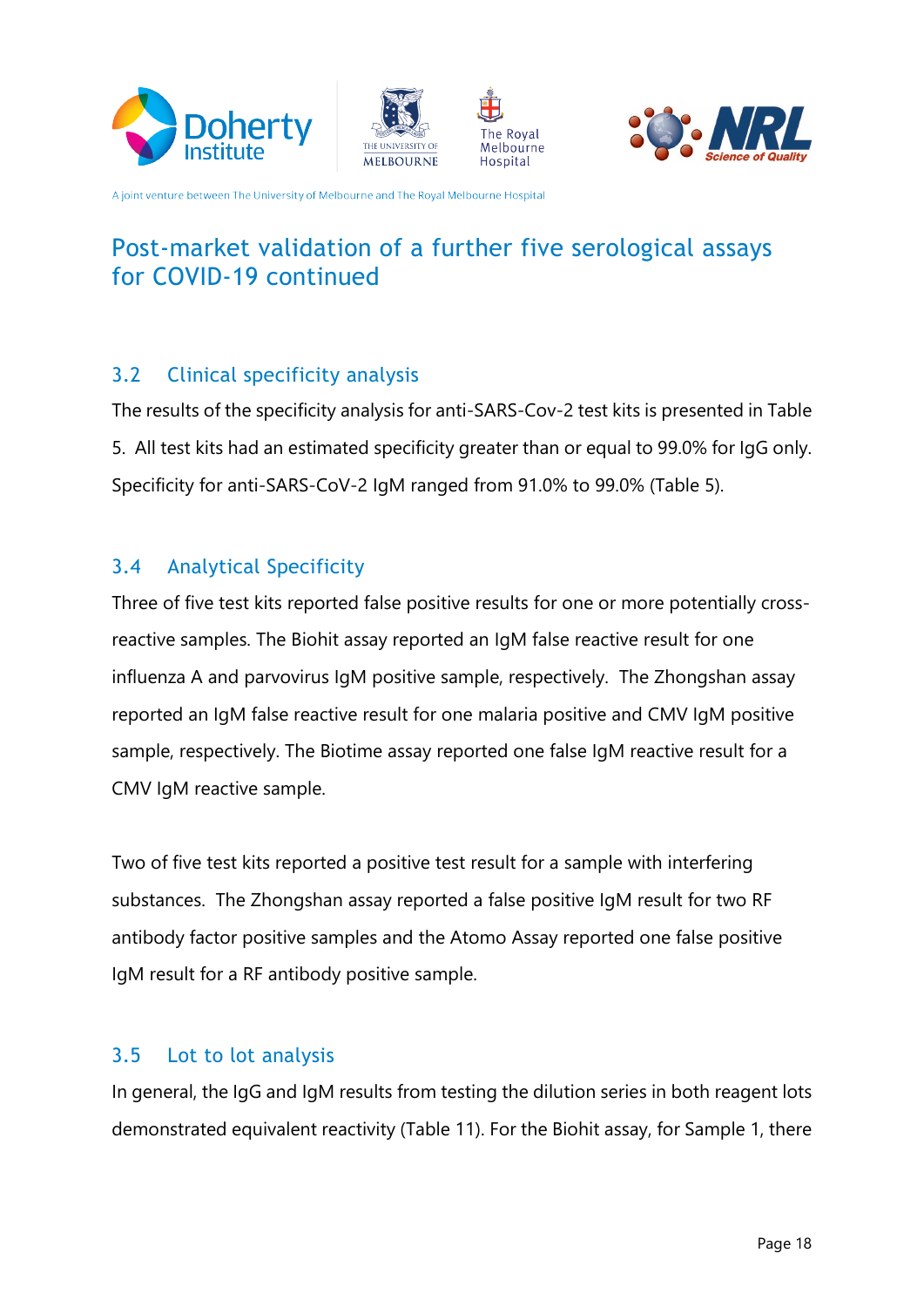![](_page_17_Picture_0.jpeg)

![](_page_17_Picture_1.jpeg)

![](_page_17_Picture_2.jpeg)

![](_page_17_Picture_3.jpeg)

# Post-market validation of a further five serological assays for COVID-19 continued

#### <span id="page-17-0"></span>3.2 Clinical specificity analysis

The results of the specificity analysis for anti-SARS-Cov-2 test kits is presented in Table 5. All test kits had an estimated specificity greater than or equal to 99.0% for IgG only. Specificity for anti-SARS-CoV-2 IgM ranged from 91.0% to 99.0% (Table 5).

#### <span id="page-17-1"></span>3.4 Analytical Specificity

reactive samples. The Biohit assay reported an IgM false reactive result for one Three of five test kits reported false positive results for one or more potentially crossinfluenza A and parvovirus IgM positive sample, respectively. The Zhongshan assay reported an IgM false reactive result for one malaria positive and CMV IgM positive sample, respectively. The Biotime assay reported one false IgM reactive result for a CMV IgM reactive sample.

Two of five test kits reported a positive test result for a sample with interfering substances. The Zhongshan assay reported a false positive IgM result for two RF antibody factor positive samples and the Atomo Assay reported one false positive IgM result for a RF antibody positive sample.

#### <span id="page-17-2"></span>3.5 Lot to lot analysis

In general, the IgG and IgM results from testing the dilution series in both reagent lots demonstrated equivalent reactivity (Table 11). For the Biohit assay, for Sample 1, there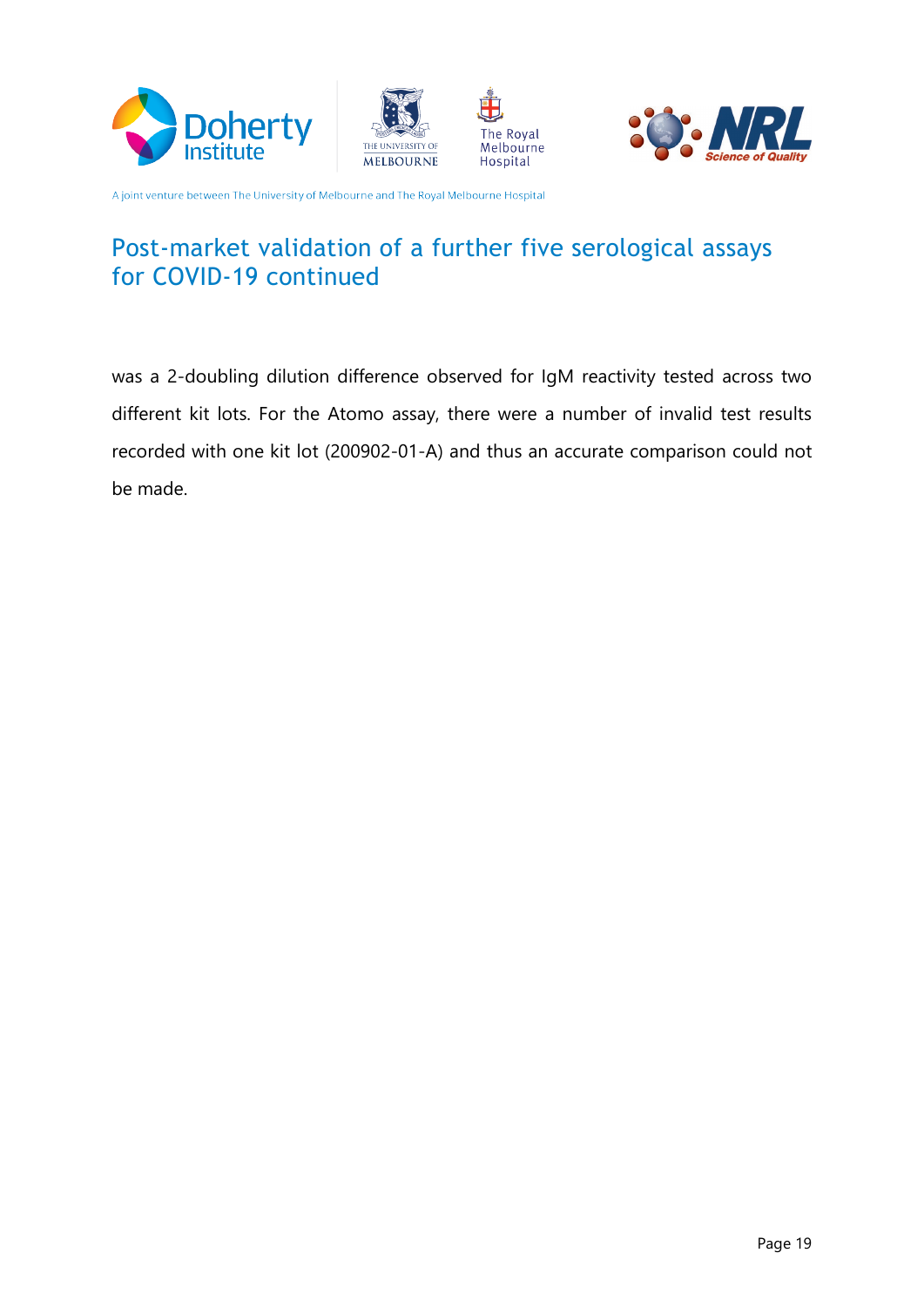![](_page_18_Picture_0.jpeg)

![](_page_18_Picture_1.jpeg)

![](_page_18_Picture_2.jpeg)

![](_page_18_Picture_3.jpeg)

### Post-market validation of a further five serological assays for COVID-19 continued

was a 2-doubling dilution difference observed for IgM reactivity tested across two different kit lots. For the Atomo assay, there were a number of invalid test results recorded with one kit lot (200902-01-A) and thus an accurate comparison could not be made.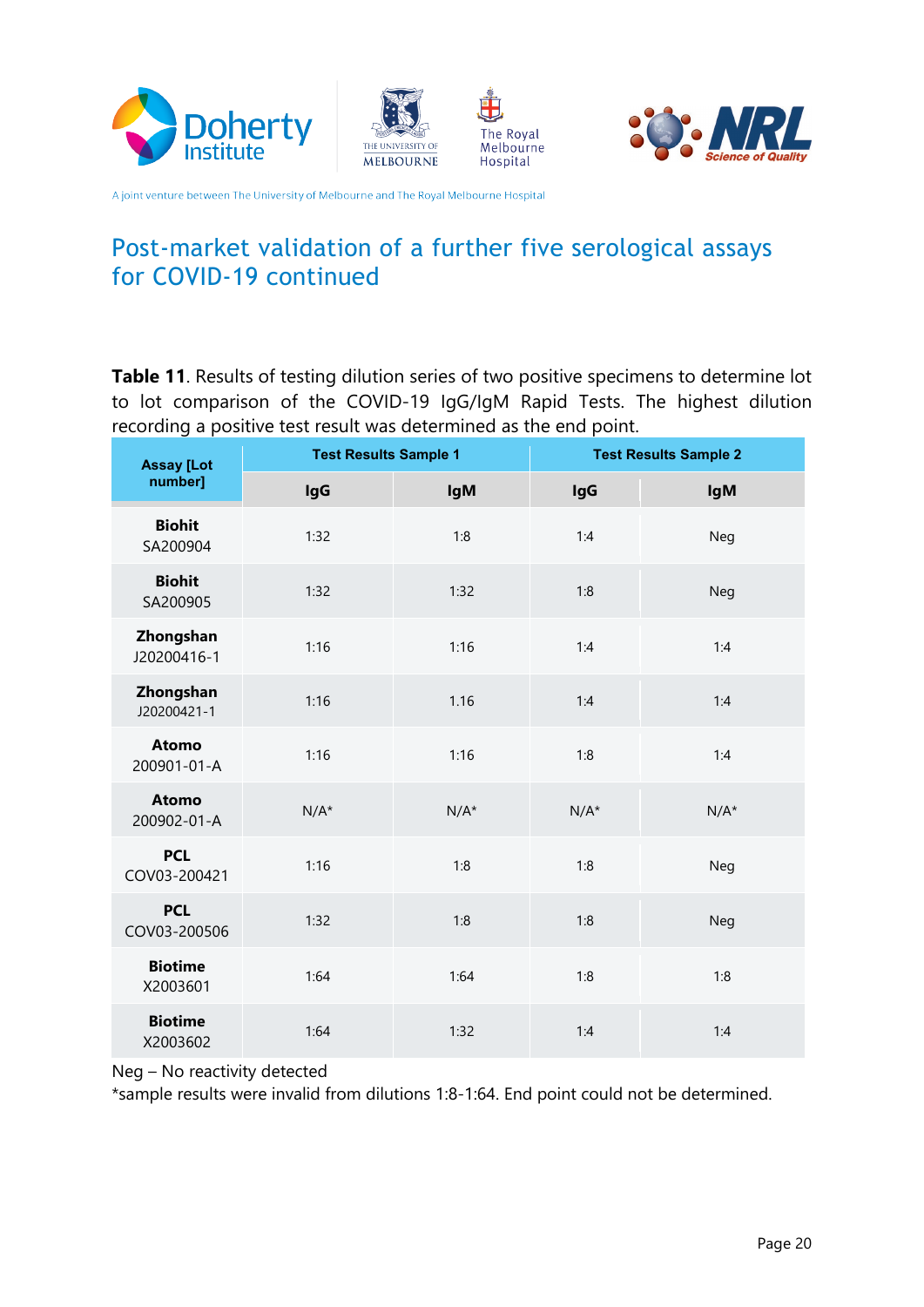![](_page_19_Picture_0.jpeg)

![](_page_19_Picture_1.jpeg)

![](_page_19_Picture_2.jpeg)

![](_page_19_Picture_3.jpeg)

### Post-market validation of a further five serological assays for COVID-19 continued

**Table 11**. Results of testing dilution series of two positive specimens to determine lot to lot comparison of the COVID-19 IgG/IgM Rapid Tests. The highest dilution recording a positive test result was determined as the end point.

| <b>Assay [Lot</b><br>number] | <b>Test Results Sample 1</b> |            | <b>Test Results Sample 2</b> |            |
|------------------------------|------------------------------|------------|------------------------------|------------|
|                              | <b>IgG</b>                   | <b>IgM</b> | <b>IgG</b>                   | <b>IgM</b> |
| <b>Biohit</b><br>SA200904    | 1:32                         | 1:8        | 1:4                          | Neg        |
| <b>Biohit</b><br>SA200905    | 1:32                         | 1:32       | 1:8                          | <b>Neg</b> |
| Zhongshan<br>J20200416-1     | 1:16                         | 1:16       | 1:4                          | 1:4        |
| Zhongshan<br>J20200421-1     | 1:16                         | 1.16       | 1:4                          | 1:4        |
| <b>Atomo</b><br>200901-01-A  | 1:16                         | 1:16       | 1:8                          | 1:4        |
| <b>Atomo</b><br>200902-01-A  | $N/A^*$                      | $N/A^*$    | $N/A^*$                      | $N/A^*$    |
| <b>PCL</b><br>COV03-200421   | 1:16                         | 1:8        | 1:8                          | Neg        |
| <b>PCL</b><br>COV03-200506   | 1:32                         | 1:8        | 1:8                          | Neg        |
| <b>Biotime</b><br>X2003601   | 1:64                         | 1:64       | 1:8                          | 1:8        |
| <b>Biotime</b><br>X2003602   | 1:64                         | 1:32       | 1:4                          | 1:4        |

Neg – No reactivity detected

\*sample results were invalid from dilutions 1:8-1:64. End point could not be determined.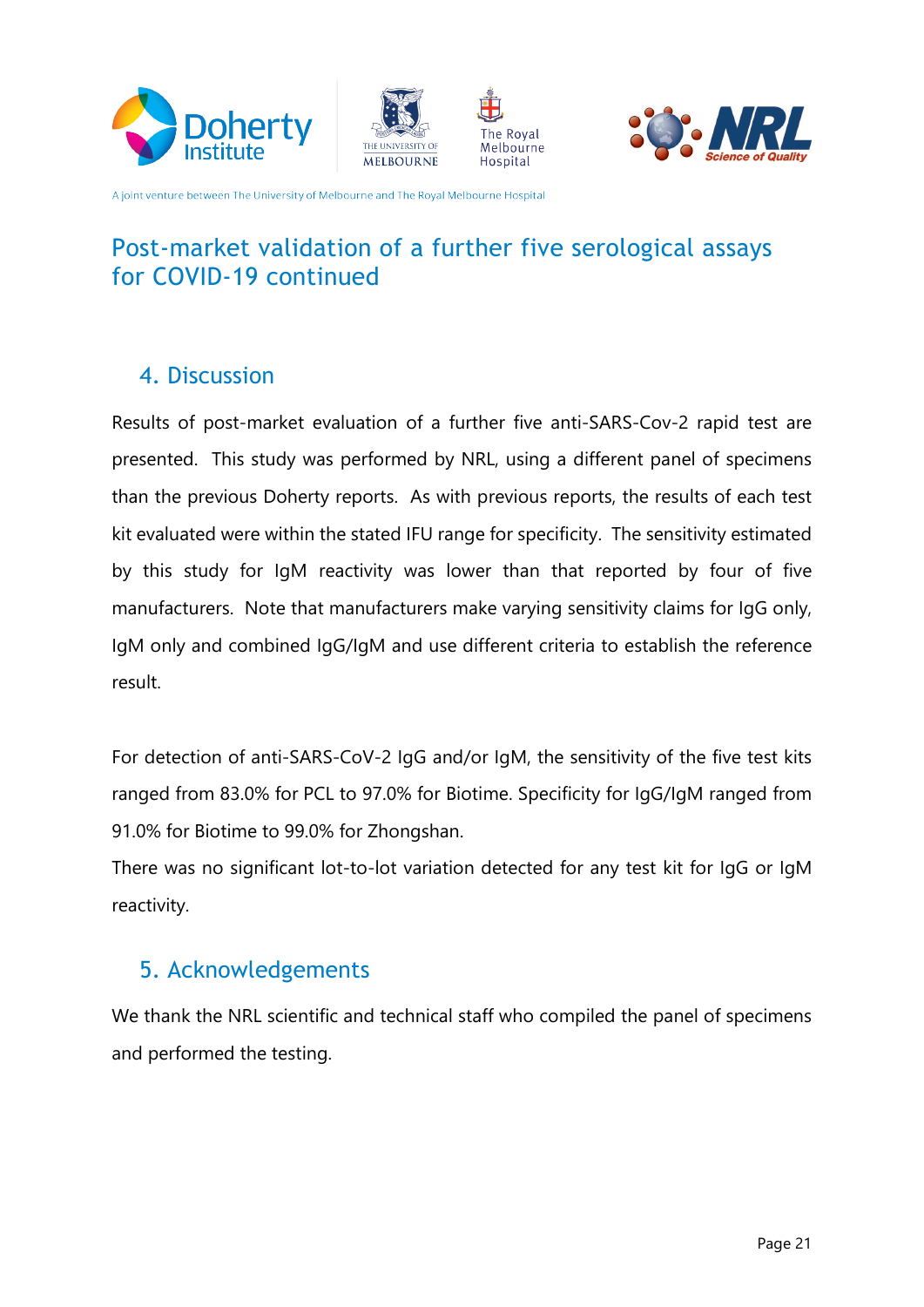![](_page_20_Picture_0.jpeg)

![](_page_20_Picture_1.jpeg)

![](_page_20_Picture_2.jpeg)

![](_page_20_Picture_3.jpeg)

## Post-market validation of a further five serological assays for COVID-19 continued

### <span id="page-20-0"></span>4. Discussion

Results of post-market evaluation of a further five anti-SARS-Cov-2 rapid test are presented. This study was performed by NRL, using a different panel of specimens than the previous Doherty reports. As with previous reports, the results of each test kit evaluated were within the stated IFU range for specificity. The sensitivity estimated by this study for IgM reactivity was lower than that reported by four of five manufacturers. Note that manufacturers make varying sensitivity claims for IgG only, IgM only and combined IgG/IgM and use different criteria to establish the reference .result

For detection of anti-SARS-CoV-2 IgG and/or IgM, the sensitivity of the five test kits ranged from 83.0% for PCL to 97.0% for Biotime. Specificity for IgG/IgM ranged from 91.0% for Biotime to 99.0% for Zhongshan.

There was no significant lot-to-lot variation detected for any test kit for IgG or IgM .reactivity

### <span id="page-20-1"></span>5. Acknowledgements

We thank the NRL scientific and technical staff who compiled the panel of specimens and performed the testing.